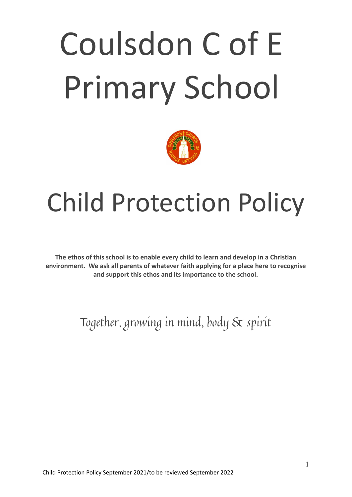# Coulsdon C of E Primary School



## Child Protection Policy

**The ethos of this school is to enable every child to learn and develop in a Christian environment. We ask all parents of whatever faith applying for a place here to recognise and support this ethos and its importance to the school.**

Together, growing in mind, body & spirit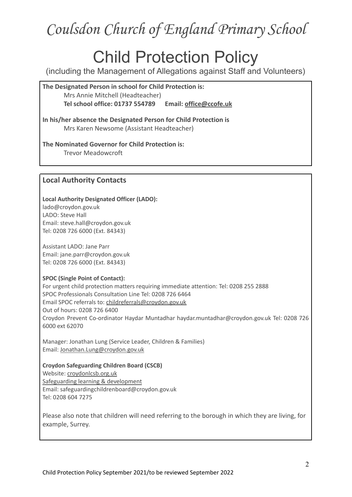### Coulsdon Church of England Primary School

## Child Protection Policy

(including the Management of Allegations against Staff and Volunteers)

**The Designated Person in school for Child Protection is:** Mrs Annie Mitchell (Headteacher) **Tel school office: 01737 554789 Email: [office@ccofe.uk](mailto:office@ccofe.uk)**

**In his/her absence the Designated Person for Child Protection is** Mrs Karen Newsome (Assistant Headteacher)

**The Nominated Governor for Child Protection is:**

Trevor Meadowcroft

#### **Local Authority Contacts**

**Local Authority Designated Officer (LADO):** lado@croydon.gov.uk LADO: Steve Hall Email: steve.hall@croydon.gov.uk Tel: 0208 726 6000 (Ext. 84343)

Assistant LADO: Jane Parr Email: jane.parr@croydon.gov.uk Tel: 0208 726 6000 (Ext. 84343)

#### **SPOC (Single Point of Contact):**

For urgent child protection matters requiring immediate attention: Tel: 0208 255 2888 SPOC Professionals Consultation Line Tel: 0208 726 6464 Email SPOC referrals to: [childreferrals@croydon.gov.uk](mailto:childreferrals@croydon.gov.uk) Out of hours: 0208 726 6400 Croydon Prevent Co-ordinator Haydar Muntadhar [haydar.muntadhar@croydon.gov.uk](mailto:haydar.muntadhar@croydon.gov.uk) Tel: 0208 726 6000 ext 62070

Manager: Jonathan Lung (Service Leader, Children & Families) Email: [Jonathan.Lung@croydon.gov.uk](mailto:Jonathan.Lung@croydon.gov.uk)

#### **Croydon Safeguarding Children Board (CSCB)**

Website: [croydonlcsb.org.uk](http://croydonlcsb.org.uk/)

Safeguarding learning & [development](http://croydonlcsb.org.uk/professionals/learning-development/) Email: safeguardingchildrenboard@croydon.gov.uk Tel: 0208 604 7275

Please also note that children will need referring to the borough in which they are living, for example, Surrey.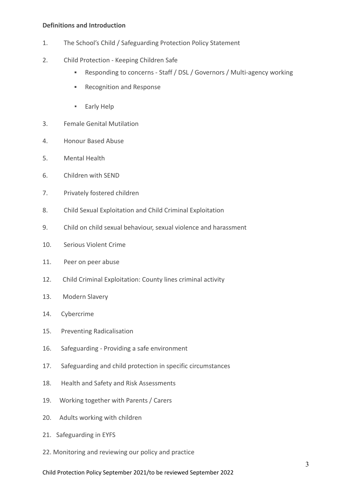#### **Definitions and Introduction**

- 1. The School's Child / Safeguarding Protection Policy Statement
- 2. Child Protection Keeping Children Safe
	- Responding to concerns Staff / DSL / Governors / Multi-agency working
	- Recognition and Response
	- Early Help
- 3. Female Genital Mutilation
- 4. Honour Based Abuse
- 5. Mental Health
- 6. Children with SEND
- 7. Privately fostered children
- 8. Child Sexual Exploitation and Child Criminal Exploitation
- 9. Child on child sexual behaviour, sexual violence and harassment
- 10. Serious Violent Crime
- 11. Peer on peer abuse
- 12. Child Criminal Exploitation: County lines criminal activity
- 13. Modern Slavery
- 14. Cybercrime
- 15. Preventing Radicalisation
- 16. Safeguarding Providing a safe environment
- 17. Safeguarding and child protection in specific circumstances
- 18. Health and Safety and Risk Assessments
- 19. Working together with Parents / Carers
- 20. Adults working with children
- 21. Safeguarding in EYFS
- 22. Monitoring and reviewing our policy and practice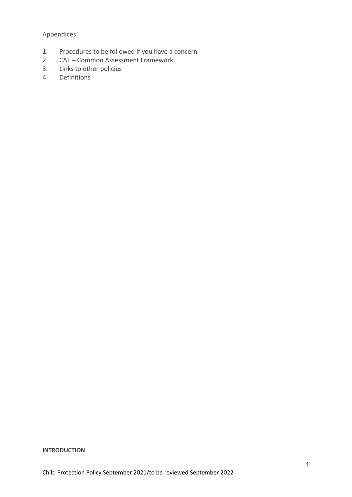#### Appendices

- 1. Procedures to be followed if you have a concern
- 2. CAF Common Assessment Framework
- 3. Links to other policies
- 4. Definitions

#### **INTRODUCTION**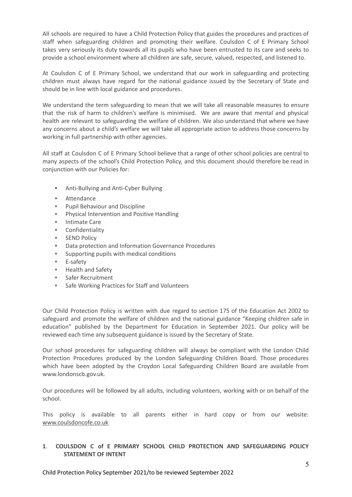All schools are required to have a Child Protection Policy that guides the procedures and practices of staff when safeguarding children and promoting their welfare. Coulsdon C of E Primary School takes very seriously its duty towards all its pupils who have been entrusted to its care and seeks to provide a school environment where all children are safe, secure, valued, respected, and listened to.

At Coulsdon C of E Primary School, we understand that our work in safeguarding and protecting children must always have regard for the national guidance issued by the Secretary of State and should be in line with local guidance and procedures.

We understand the term safeguarding to mean that we will take all reasonable measures to ensure that the risk of harm to children's welfare is minimised. We are aware that mental and physical health are relevant to safeguarding the welfare of children. We also understand that where we have any concerns about a child's welfare we will take all appropriate action to address those concerns by working in full partnership with other agencies.

All staff at Coulsdon C of E Primary School believe that a range of other school policies are central to many aspects of the school's Child Protection Policy, and this document should therefore be read in conjunction with our Policies for:

- **■** Anti-Bullying and Anti-Cyber Bullying
- Attendance
- Pupil Behaviour and Discipline
- Physical Intervention and Positive Handling
- **Intimate Care**
- **Confidentiality**
- SEND Policy
- Data protection and Information Governance Procedures
- Supporting pupils with medical conditions
- E-safety
- Health and Safety
- Safer Recruitment
- Safe Working Practices for Staff and Volunteers

Our Child Protection Policy is written with due regard to section 175 of the Education Act 2002 to safeguard and promote the welfare of children and the national guidance "Keeping children safe in education" published by the Department for Education in September 2021. Our policy will be reviewed each time any subsequent guidance is issued by the Secretary of State.

Our school procedures for safeguarding children will always be compliant with the London Child Protection Procedures produced by the London Safeguarding Children Board. Those procedures which have been adopted by the Croydon Local Safeguarding Children Board are available from www.londonscb.gov.uk.

Our procedures will be followed by all adults, including volunteers, working with or on behalf of the school.

This policy is available to all parents either in hard copy or from our website: [www.coulsdoncofe.co.uk](http://www.coulsdoncofe.co.uk)

#### **1**. **COULSDON C of E PRIMARY SCHOOL CHILD PROTECTION AND SAFEGUARDING POLICY STATEMENT OF INTENT**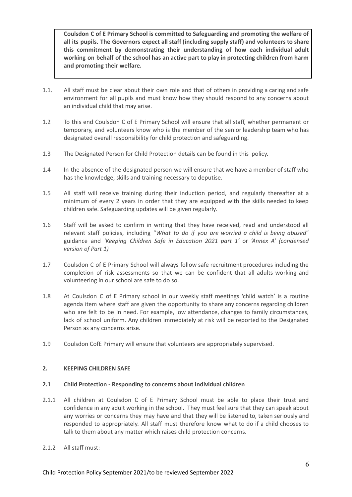**Coulsdon C of E Primary School is committed to Safeguarding and promoting the welfare of all its pupils. The Governors expect all staff (including supply staff) and volunteers to share this commitment by demonstrating their understanding of how each individual adult working on behalf of the school has an active part to play in protecting children from harm and promoting their welfare.**

- 1.1. All staff must be clear about their own role and that of others in providing a caring and safe environment for all pupils and must know how they should respond to any concerns about an individual child that may arise.
- 1.2 To this end Coulsdon C of E Primary School will ensure that all staff, whether permanent or temporary, and volunteers know who is the member of the senior leadership team who has designated overall responsibility for child protection and safeguarding.
- 1.3 The Designated Person for Child Protection details can be found in this policy.
- 1.4 In the absence of the designated person we will ensure that we have a member of staff who has the knowledge, skills and training necessary to deputise.
- 1.5 All staff will receive training during their induction period, and regularly thereafter at a minimum of every 2 years in order that they are equipped with the skills needed to keep children safe. Safeguarding updates will be given regularly.
- 1.6 Staff will be asked to confirm in writing that they have received, read and understood all relevant staff policies, including "*What to do if you are worried a child is being abused*" guidance and *'Keeping Children Safe in Education 2021 part 1'* or *'Annex A' (condensed version of Part 1)*
- 1.7 Coulsdon C of E Primary School will always follow safe recruitment procedures including the completion of risk assessments so that we can be confident that all adults working and volunteering in our school are safe to do so.
- 1.8 At Coulsdon C of E Primary school in our weekly staff meetings 'child watch' is a routine agenda item where staff are given the opportunity to share any concerns regarding children who are felt to be in need. For example, low attendance, changes to family circumstances, lack of school uniform. Any children immediately at risk will be reported to the Designated Person as any concerns arise.
- 1.9 Coulsdon CofE Primary will ensure that volunteers are appropriately supervised.

#### **2. KEEPING CHILDREN SAFE**

#### **2.1 Child Protection - Responding to concerns about individual children**

- 2.1.1 All children at Coulsdon C of E Primary School must be able to place their trust and confidence in any adult working in the school. They must feel sure that they can speak about any worries or concerns they may have and that they will be listened to, taken seriously and responded to appropriately. All staff must therefore know what to do if a child chooses to talk to them about any matter which raises child protection concerns.
- 2.1.2 All staff must: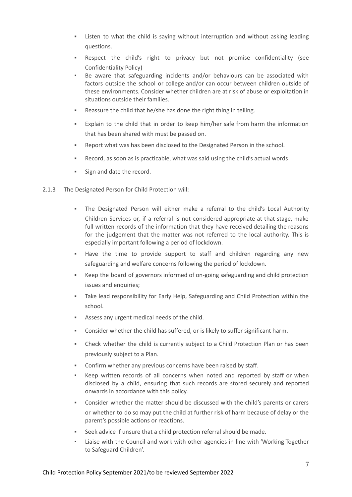- **EXECT** Listen to what the child is saying without interruption and without asking leading questions.
- Respect the child's right to privacy but not promise confidentiality (see Confidentiality Policy)
- Be aware that safeguarding incidents and/or behaviours can be associated with factors outside the school or college and/or can occur between children outside of these environments. Consider whether children are at risk of abuse or exploitation in situations outside their families.
- Reassure the child that he/she has done the right thing in telling.
- Explain to the child that in order to keep him/her safe from harm the information that has been shared with must be passed on.
- Report what was has been disclosed to the Designated Person in the school.
- Record, as soon as is practicable, what was said using the child's actual words
- Sign and date the record.
- 2.1.3 The Designated Person for Child Protection will:
	- The Designated Person will either make a referral to the child's Local Authority Children Services or, if a referral is not considered appropriate at that stage, make full written records of the information that they have received detailing the reasons for the judgement that the matter was not referred to the local authority. This is especially important following a period of lockdown.
	- Have the time to provide support to staff and children regarding any new safeguarding and welfare concerns following the period of lockdown.
	- Keep the board of governors informed of on-going safeguarding and child protection issues and enquiries;
	- Take lead responsibility for Early Help, Safeguarding and Child Protection within the school.
	- Assess any urgent medical needs of the child.
	- Consider whether the child has suffered, or is likely to suffer significant harm.
	- Check whether the child is currently subject to a Child Protection Plan or has been previously subject to a Plan.
	- Confirm whether any previous concerns have been raised by staff.
	- Keep written records of all concerns when noted and reported by staff or when disclosed by a child, ensuring that such records are stored securely and reported onwards in accordance with this policy.
	- Consider whether the matter should be discussed with the child's parents or carers or whether to do so may put the child at further risk of harm because of delay or the parent's possible actions or reactions.
	- Seek advice if unsure that a child protection referral should be made.
	- Liaise with the Council and work with other agencies in line with 'Working Together to Safeguard Children'.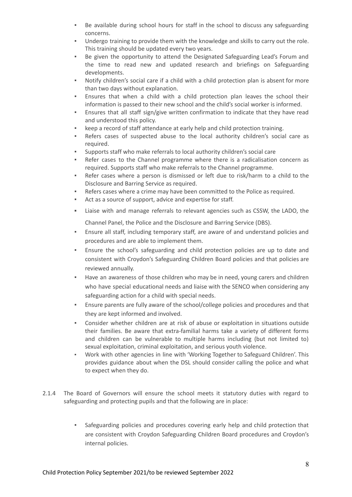- Be available during school hours for staff in the school to discuss any safeguarding concerns.
- Undergo training to provide them with the knowledge and skills to carry out the role. This training should be updated every two years.
- Be given the opportunity to attend the Designated Safeguarding Lead's Forum and the time to read new and updated research and briefings on Safeguarding developments.
- Notify children's social care if a child with a child protection plan is absent for more than two days without explanation.
- Ensures that when a child with a child protection plan leaves the school their information is passed to their new school and the child's social worker is informed.
- Ensures that all staff sign/give written confirmation to indicate that they have read and understood this policy.
- keep a record of staff attendance at early help and child protection training.
- Refers cases of suspected abuse to the local authority children's social care as required.
- Supports staff who make referrals to local authority children's social care
- Refer cases to the Channel programme where there is a radicalisation concern as required. Supports staff who make referrals to the Channel programme.
- Refer cases where a person is dismissed or left due to risk/harm to a child to the Disclosure and Barring Service as required.
- Refers cases where a crime may have been committed to the Police as required.
- Act as a source of support, advice and expertise for staff.
- Liaise with and manage referrals to relevant agencies such as CSSW, the LADO, the

Channel Panel, the Police and the Disclosure and Barring Service (DBS).

- Ensure all staff, including temporary staff, are aware of and understand policies and procedures and are able to implement them.
- Ensure the school's safeguarding and child protection policies are up to date and consistent with Croydon's Safeguarding Children Board policies and that policies are reviewed annually.
- Have an awareness of those children who may be in need, young carers and children who have special educational needs and liaise with the SENCO when considering any safeguarding action for a child with special needs.
- Ensure parents are fully aware of the school/college policies and procedures and that they are kept informed and involved.
- Consider whether children are at risk of abuse or exploitation in situations outside their families. Be aware that extra-familial harms take a variety of different forms and children can be vulnerable to multiple harms including (but not limited to) sexual exploitation, criminal exploitation, and serious youth violence.
- Work with other agencies in line with 'Working Together to Safeguard Children'. This provides guidance about when the DSL should consider calling the police and what to expect when they do.
- 2.1.4 The Board of Governors will ensure the school meets it statutory duties with regard to safeguarding and protecting pupils and that the following are in place:
	- Safeguarding policies and procedures covering early help and child protection that are consistent with Croydon Safeguarding Children Board procedures and Croydon's internal policies.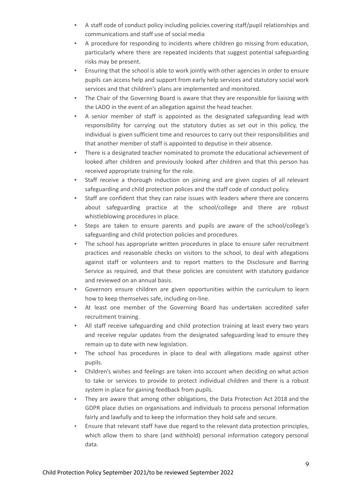- A staff code of conduct policy including policies covering staff/pupil relationships and communications and staff use of social media
- A procedure for responding to incidents where children go missing from education, particularly where there are repeated incidents that suggest potential safeguarding risks may be present.
- Ensuring that the school is able to work jointly with other agencies in order to ensure pupils can access help and support from early help services and statutory social work services and that children's plans are implemented and monitored.
- The Chair of the Governing Board is aware that they are responsible for liaising with the LADO in the event of an allegation against the head teacher.
- A senior member of staff is appointed as the designated safeguarding lead with responsibility for carrying out the statutory duties as set out in this policy, the individual is given sufficient time and resources to carry out their responsibilities and that another member of staff is appointed to deputise in their absence.
- There is a designated teacher nominated to promote the educational achievement of looked after children and previously looked after children and that this person has received appropriate training for the role.
- Staff receive a thorough induction on joining and are given copies of all relevant safeguarding and child protection polices and the staff code of conduct policy.
- Staff are confident that they can raise issues with leaders where there are concerns about safeguarding practice at the school/college and there are robust whistleblowing procedures in place.
- Steps are taken to ensure parents and pupils are aware of the school/college's safeguarding and child protection policies and procedures.
- The school has appropriate written procedures in place to ensure safer recruitment practices and reasonable checks on visitors to the school, to deal with allegations against staff or volunteers and to report matters to the Disclosure and Barring Service as required, and that these policies are consistent with statutory guidance and reviewed on an annual basis.
- Governors ensure children are given opportunities within the curriculum to learn how to keep themselves safe, including on-line.
- At least one member of the Governing Board has undertaken accredited safer recruitment training.
- All staff receive safeguarding and child protection training at least every two years and receive regular updates from the designated safeguarding lead to ensure they remain up to date with new legislation.
- The school has procedures in place to deal with allegations made against other pupils.
- Children's wishes and feelings are taken into account when deciding on what action to take or services to provide to protect individual children and there is a robust system in place for gaining feedback from pupils.
- They are aware that among other obligations, the Data Protection Act 2018 and the GDPR place duties on organisations and individuals to process personal information fairly and lawfully and to keep the information they hold safe and secure.
- Ensure that relevant staff have due regard to the relevant data protection principles, which allow them to share (and withhold) personal information category personal data.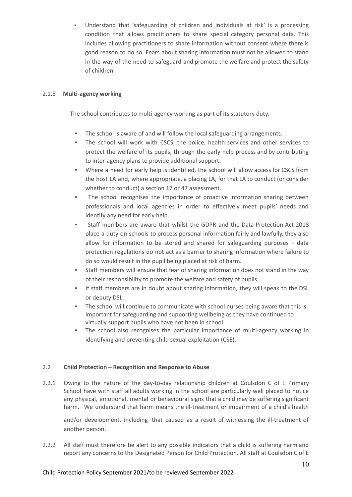Understand that 'safeguarding of children and individuals at risk' is a processing condition that allows practitioners to share special category personal data. This includes allowing practitioners to share information without consent where there is good reason to do so. Fears about sharing information must not be allowed to stand in the way of the need to safeguard and promote the welfare and protect the safety of children.

#### 2.1.5 **Multi-agency working**

The school contributes to multi-agency working as part of its statutory duty.

- The school is aware of and will follow the local safeguarding arrangements.
- The school will work with CSCS, the police, health services and other services to protect the welfare of its pupils, through the early help process and by contributing to inter-agency plans to provide additional support.
- Where a need for early help is identified, the school will allow access for CSCS from the host LA and, where appropriate, a placing LA, for that LA to conduct (or consider whether to conduct) a section 17 or 47 assessment.
- The school recognises the importance of proactive information sharing between professionals and local agencies in order to effectively meet pupils' needs and identify any need for early help.
- Staff members are aware that whilst the GDPR and the Data Protection Act 2018 place a duty on schools to process personal information fairly and lawfully, they also allow for information to be stored and shared for safeguarding purposes – data protection regulations do not act as a barrier to sharing information where failure to do so would result in the pupil being placed at risk of harm.
- Staff members will ensure that fear of sharing information does not stand in the way of their responsibility to promote the welfare and safety of pupils.
- If staff members are in doubt about sharing information, they will speak to the DSL or deputy DSL.
- The school will continue to communicate with school nurses being aware that this is important for safeguarding and supporting wellbeing as they have continued to virtually support pupils who have not been in school.
- The school also recognises the particular importance of multi-agency working in identifying and preventing child sexual exploitation (CSE).

#### 2.2 **Child Protection – Recognition and Response to Abuse**

2.2.1 Owing to the nature of the day-to-day relationship children at Coulsdon C of E Primary School have with staff all adults working in the school are particularly well placed to notice any physical, emotional, mental or behavioural signs that a child may be suffering significant harm. We understand that harm means the ill-treatment or impairment of a child's health

and/or development, including that caused as a result of witnessing the ill-treatment of another person.

2.2.2 All staff must therefore be alert to any possible indicators that a child is suffering harm and report any concerns to the Designated Person for Child Protection. All staff at Coulsdon C of E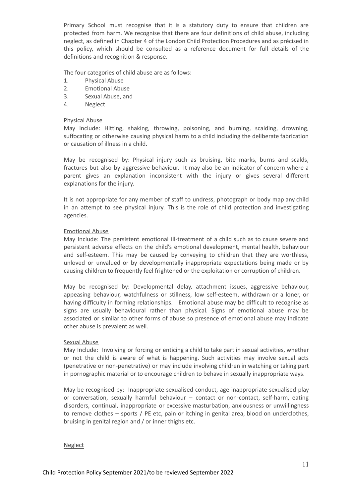Primary School must recognise that it is a statutory duty to ensure that children are protected from harm. We recognise that there are four definitions of child abuse, including neglect, as defined in Chapter 4 of the London Child Protection Procedures and as précised in this policy, which should be consulted as a reference document for full details of the definitions and recognition & response.

The four categories of child abuse are as follows:

- 1. Physical Abuse
- 2. Emotional Abuse
- 3. Sexual Abuse, and
- 4. Neglect

#### Physical Abuse

May include: Hitting, shaking, throwing, poisoning, and burning, scalding, drowning, suffocating or otherwise causing physical harm to a child including the deliberate fabrication or causation of illness in a child.

May be recognised by: Physical injury such as bruising, bite marks, burns and scalds, fractures but also by aggressive behaviour. It may also be an indicator of concern where a parent gives an explanation inconsistent with the injury or gives several different explanations for the injury.

It is not appropriate for any member of staff to undress, photograph or body map any child in an attempt to see physical injury. This is the role of child protection and investigating agencies.

#### Emotional Abuse

May Include: The persistent emotional ill-treatment of a child such as to cause severe and persistent adverse effects on the child's emotional development, mental health, behaviour and self-esteem. This may be caused by conveying to children that they are worthless, unloved or unvalued or by developmentally inappropriate expectations being made or by causing children to frequently feel frightened or the exploitation or corruption of children.

May be recognised by: Developmental delay, attachment issues, aggressive behaviour, appeasing behaviour, watchfulness or stillness, low self-esteem, withdrawn or a loner, or having difficulty in forming relationships. Emotional abuse may be difficult to recognise as signs are usually behavioural rather than physical. Signs of emotional abuse may be associated or similar to other forms of abuse so presence of emotional abuse may indicate other abuse is prevalent as well.

#### Sexual Abuse

May Include: Involving or forcing or enticing a child to take part in sexual activities, whether or not the child is aware of what is happening. Such activities may involve sexual acts (penetrative or non-penetrative) or may include involving children in watching or taking part in pornographic material or to encourage children to behave in sexually inappropriate ways.

May be recognised by: Inappropriate sexualised conduct, age inappropriate sexualised play or conversation, sexually harmful behaviour – contact or non-contact, self-harm, eating disorders, continual, inappropriate or excessive masturbation, anxiousness or unwillingness to remove clothes – sports / PE etc, pain or itching in genital area, blood on underclothes, bruising in genital region and / or inner thighs etc.

#### Neglect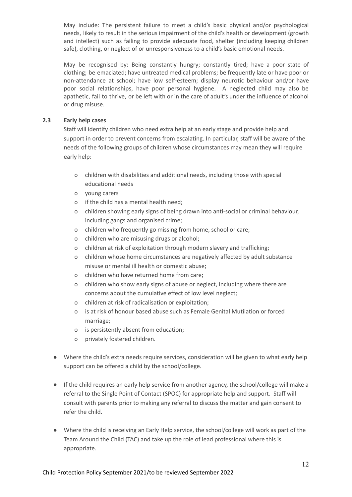May include: The persistent failure to meet a child's basic physical and/or psychological needs, likely to result in the serious impairment of the child's health or development (growth and intellect) such as failing to provide adequate food, shelter (including keeping children safe), clothing, or neglect of or unresponsiveness to a child's basic emotional needs.

May be recognised by: Being constantly hungry; constantly tired; have a poor state of clothing; be emaciated; have untreated medical problems; be frequently late or have poor or non-attendance at school; have low self-esteem; display neurotic behaviour and/or have poor social relationships, have poor personal hygiene. A neglected child may also be apathetic, fail to thrive, or be left with or in the care of adult's under the influence of alcohol or drug misuse.

#### **2.3 Early help cases**

Staff will identify children who need extra help at an early stage and provide help and support in order to prevent concerns from escalating. In particular, staff will be aware of the needs of the following groups of children whose circumstances may mean they will require early help:

- o children with disabilities and additional needs, including those with special educational needs
- o young carers
- o if the child has a mental health need;
- o children showing early signs of being drawn into anti-social or criminal behaviour, including gangs and organised crime;
- o children who frequently go missing from home, school or care;
- o children who are misusing drugs or alcohol;
- o children at risk of exploitation through modern slavery and trafficking;
- o children whose home circumstances are negatively affected by adult substance misuse or mental ill health or domestic abuse;
- o children who have returned home from care;
- o children who show early signs of abuse or neglect, including where there are concerns about the cumulative effect of low level neglect;
- o children at risk of radicalisation or exploitation;
- o is at risk of honour based abuse such as Female Genital Mutilation or forced marriage;
- o is persistently absent from education;
- o privately fostered children.
- Where the child's extra needs require services, consideration will be given to what early help support can be offered a child by the school/college.
- If the child requires an early help service from another agency, the school/college will make a referral to the Single Point of Contact (SPOC) for appropriate help and support. Staff will consult with parents prior to making any referral to discuss the matter and gain consent to refer the child.
- Where the child is receiving an Early Help service, the school/college will work as part of the Team Around the Child (TAC) and take up the role of lead professional where this is appropriate.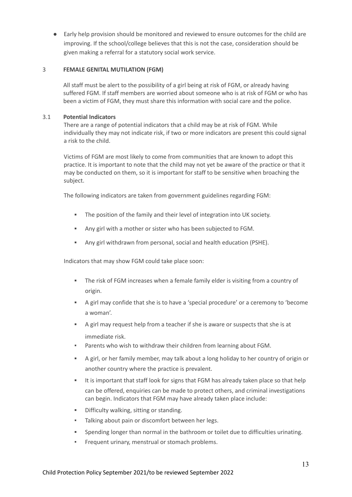● Early help provision should be monitored and reviewed to ensure outcomes for the child are improving. If the school/college believes that this is not the case, consideration should be given making a referral for a statutory social work service.

#### 3 **FEMALE GENITAL MUTILATION (FGM)**

All staff must be alert to the possibility of a girl being at risk of FGM, or already having suffered FGM. If staff members are worried about someone who is at risk of FGM or who has been a victim of FGM, they must share this information with social care and the police.

#### 3.1 **Potential Indicators**

There are a range of potential indicators that a child may be at risk of FGM. While individually they may not indicate risk, if two or more indicators are present this could signal a risk to the child.

Victims of FGM are most likely to come from communities that are known to adopt this practice. It is important to note that the child may not yet be aware of the practice or that it may be conducted on them, so it is important for staff to be sensitive when broaching the subject.

The following indicators are taken from government guidelines regarding FGM:

- The position of the family and their level of integration into UK society.
- Any girl with a mother or sister who has been subjected to FGM.
- Any girl withdrawn from personal, social and health education (PSHE).

Indicators that may show FGM could take place soon:

- **•** The risk of FGM increases when a female family elder is visiting from a country of origin.
- A girl may confide that she is to have a 'special procedure' or a ceremony to 'become a woman'.
- A girl may request help from a teacher if she is aware or suspects that she is at immediate risk.
- Parents who wish to withdraw their children from learning about FGM.
- A girl, or her family member, may talk about a long holiday to her country of origin or another country where the practice is prevalent.
- It is important that staff look for signs that FGM has already taken place so that help can be offered, enquiries can be made to protect others, and criminal investigations can begin. Indicators that FGM may have already taken place include:
- Difficulty walking, sitting or standing.
- Talking about pain or discomfort between her legs.
- Spending longer than normal in the bathroom or toilet due to difficulties urinating.
- **•** Frequent urinary, menstrual or stomach problems.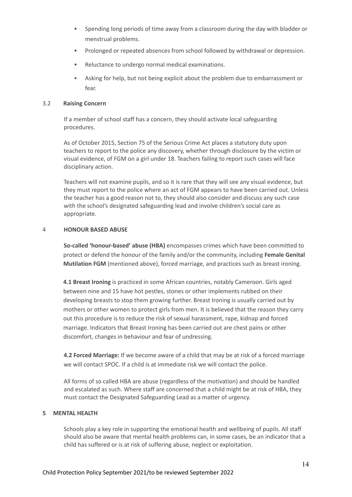- Spending long periods of time away from a classroom during the day with bladder or menstrual problems.
- Prolonged or repeated absences from school followed by withdrawal or depression.
- Reluctance to undergo normal medical examinations.
- Asking for help, but not being explicit about the problem due to embarrassment or fear.

#### 3.2 **Raising Concern**

If a member of school staff has a concern, they should activate local safeguarding procedures.

As of October 2015, Section 75 of the Serious Crime Act places a statutory duty upon teachers to report to the police any discovery, whether through disclosure by the victim or visual evidence, of FGM on a girl under 18. Teachers failing to report such cases will face disciplinary action.

Teachers will not examine pupils, and so it is rare that they will see any visual evidence, but they must report to the police where an act of FGM appears to have been carried out. Unless the teacher has a good reason not to, they should also consider and discuss any such case with the school's designated safeguarding lead and involve children's social care as appropriate.

#### 4 **HONOUR BASED ABUSE**

**So-called 'honour-based' abuse (HBA)** encompasses crimes which have been committed to protect or defend the honour of the family and/or the community, including **Female Genital Mutilation FGM** (mentioned above), forced marriage, and practices such as breast ironing.

**4.1 Breast Ironing** is practiced in some African countries, notably Cameroon. Girls aged between nine and 15 have hot pestles, stones or other implements rubbed on their developing breasts to stop them growing further. Breast Ironing is usually carried out by mothers or other women to protect girls from men. It is believed that the reason they carry out this procedure is to reduce the risk of sexual harassment, rape, kidnap and forced marriage. Indicators that Breast Ironing has been carried out are chest pains or other discomfort, changes in behaviour and fear of undressing.

**4.2 Forced Marriage:** If we become aware of a child that may be at risk of a forced marriage we will contact SPOC. If a child is at immediate risk we will contact the police.

All forms of so called HBA are abuse (regardless of the motivation) and should be handled and escalated as such. Where staff are concerned that a child might be at risk of HBA, they must contact the Designated Safeguarding Lead as a matter of urgency.

#### **5 MENTAL HEALTH**

Schools play a key role in supporting the emotional health and wellbeing of pupils. All staff should also be aware that mental health problems can, in some cases, be an indicator that a child has suffered or is at risk of suffering abuse, neglect or exploitation.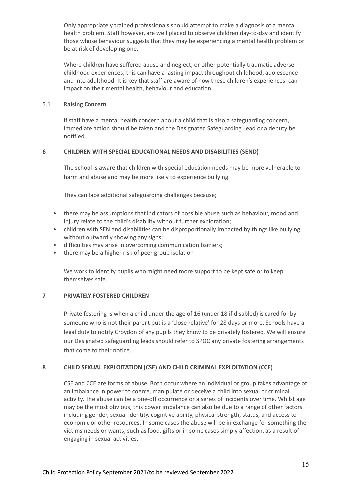Only appropriately trained professionals should attempt to make a diagnosis of a mental health problem. Staff however, are well placed to observe children day-to-day and identify those whose behaviour suggests that they may be experiencing a mental health problem or be at risk of developing one.

Where children have suffered abuse and neglect, or other potentially traumatic adverse childhood experiences, this can have a lasting impact throughout childhood, adolescence and into adulthood. It is key that staff are aware of how these children's experiences, can impact on their mental health, behaviour and education.

#### 5.1 R**aising Concern**

If staff have a mental health concern about a child that is also a safeguarding concern, immediate action should be taken and the Designated Safeguarding Lead or a deputy be notified.

#### **6 CHILDREN WITH SPECIAL EDUCATIONAL NEEDS AND DISABILITIES (SEND)**

The school is aware that children with special education needs may be more vulnerable to harm and abuse and may be more likely to experience bullying.

They can face additional safeguarding challenges because;

- there may be assumptions that indicators of possible abuse such as behaviour, mood and injury relate to the child's disability without further exploration;
- children with SEN and disabilities can be disproportionally impacted by things like bullying without outwardly showing any signs;
- difficulties may arise in overcoming communication barriers;
- there may be a higher risk of peer group isolation

We work to identify pupils who might need more support to be kept safe or to keep themselves safe.

#### **7 PRIVATELY FOSTERED CHILDREN**

Private fostering is when a child under the age of 16 (under 18 if disabled) is cared for by someone who is not their parent but is a 'close relative' for 28 days or more. Schools have a legal duty to notify Croydon of any pupils they know to be privately fostered. We will ensure our Designated safeguarding leads should refer to SPOC any private fostering arrangements that come to their notice.

#### **8 CHILD SEXUAL EXPLOITATION (CSE) AND CHILD CRIMINAL EXPLOITATION (CCE)**

CSE and CCE are forms of abuse. Both occur where an individual or group takes advantage of an imbalance in power to coerce, manipulate or deceive a child into sexual or criminal activity. The abuse can be a one-off occurrence or a series of incidents over time. Whilst age may be the most obvious, this power imbalance can also be due to a range of other factors including gender, sexual identity, cognitive ability, physical strength, status, and access to economic or other resources. In some cases the abuse will be in exchange for something the victims needs or wants, such as food, gifts or in some cases simply affection, as a result of engaging in sexual activities.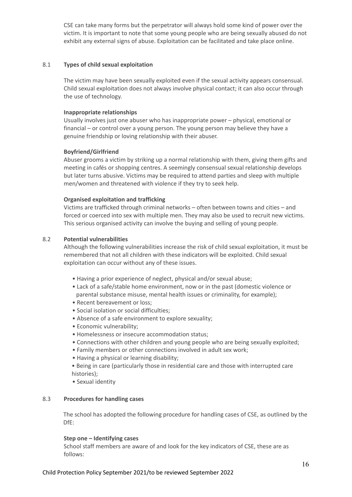CSE can take many forms but the perpetrator will always hold some kind of power over the victim. It is important to note that some young people who are being sexually abused do not exhibit any external signs of abuse. Exploitation can be facilitated and take place online.

#### 8.1 **Types of child sexual exploitation**

The victim may have been sexually exploited even if the sexual activity appears consensual. Child sexual exploitation does not always involve physical contact; it can also occur through the use of technology.

#### **Inappropriate relationships**

Usually involves just one abuser who has inappropriate power – physical, emotional or financial – or control over a young person. The young person may believe they have a genuine friendship or loving relationship with their abuser.

#### **Boyfriend/Girlfriend**

Abuser grooms a victim by striking up a normal relationship with them, giving them gifts and meeting in cafés or shopping centres. A seemingly consensual sexual relationship develops but later turns abusive. Victims may be required to attend parties and sleep with multiple men/women and threatened with violence if they try to seek help.

#### **Organised exploitation and trafficking**

Victims are trafficked through criminal networks – often between towns and cities – and forced or coerced into sex with multiple men. They may also be used to recruit new victims. This serious organised activity can involve the buying and selling of young people.

#### 8.2 **Potential vulnerabilities**

Although the following vulnerabilities increase the risk of child sexual exploitation, it must be remembered that not all children with these indicators will be exploited. Child sexual exploitation can occur without any of these issues.

- Having a prior experience of neglect, physical and/or sexual abuse;
- Lack of a safe/stable home environment, now or in the past (domestic violence or parental substance misuse, mental health issues or criminality, for example);
- Recent bereavement or loss;
- Social isolation or social difficulties;
- Absence of a safe environment to explore sexuality;
- Economic vulnerability;
- Homelessness or insecure accommodation status;
- Connections with other children and young people who are being sexually exploited;
- Family members or other connections involved in adult sex work;
- Having a physical or learning disability;
- Being in care (particularly those in residential care and those with interrupted care histories);
- Sexual identity

#### 8.3 **Procedures for handling cases**

The school has adopted the following procedure for handling cases of CSE, as outlined by the DfE:

#### **Step one – Identifying cases**

School staff members are aware of and look for the key indicators of CSE, these are as follows: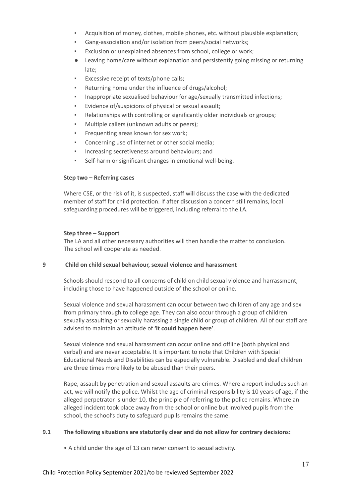- Acquisition of money, clothes, mobile phones, etc. without plausible explanation;
- Gang-association and/or isolation from peers/social networks;
- Exclusion or unexplained absences from school, college or work;
- Leaving home/care without explanation and persistently going missing or returning late;
- Excessive receipt of texts/phone calls;
- Returning home under the influence of drugs/alcohol;
- Inappropriate sexualised behaviour for age/sexually transmitted infections;
- Evidence of/suspicions of physical or sexual assault;
- Relationships with controlling or significantly older individuals or groups;
- Multiple callers (unknown adults or peers);
- **•** Frequenting areas known for sex work;
- Concerning use of internet or other social media;
- Increasing secretiveness around behaviours; and
- Self-harm or significant changes in emotional well-being.

#### **Step two – Referring cases**

Where CSE, or the risk of it, is suspected, staff will discuss the case with the dedicated member of staff for child protection. If after discussion a concern still remains, local safeguarding procedures will be triggered, including referral to the LA.

#### **Step three – Support**

The LA and all other necessary authorities will then handle the matter to conclusion. The school will cooperate as needed.

#### **9 Child on child sexual behaviour, sexual violence and harassment**

Schools should respond to all concerns of child on child sexual violence and harrassment, including those to have happened outside of the school or online.

Sexual violence and sexual harassment can occur between two children of any age and sex from primary through to college age. They can also occur through a group of children sexually assaulting or sexually harassing a single child or group of children. All of our staff are advised to maintain an attitude of **'it could happen here'**.

Sexual violence and sexual harassment can occur online and offline (both physical and verbal) and are never acceptable. It is important to note that Children with Special Educational Needs and Disabilities can be especially vulnerable. Disabled and deaf children are three times more likely to be abused than their peers.

Rape, assault by penetration and sexual assaults are crimes. Where a report includes such an act, we will notify the police. Whilst the age of criminal responsibility is 10 years of age, if the alleged perpetrator is under 10, the principle of referring to the police remains. Where an alleged incident took place away from the school or online but involved pupils from the school, the school's duty to safeguard pupils remains the same.

#### **9.1 The following situations are statutorily clear and do not allow for contrary decisions:**

• A child under the age of 13 can never consent to sexual activity.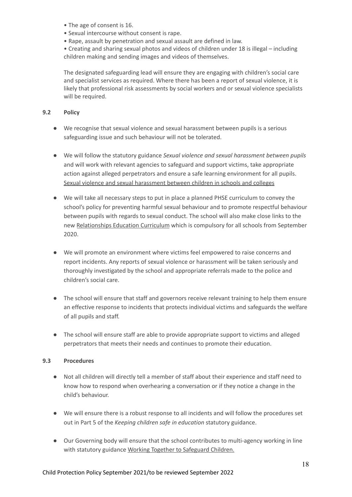- The age of consent is 16.
- Sexual intercourse without consent is rape.
- Rape, assault by penetration and sexual assault are defined in law.

• Creating and sharing sexual photos and videos of children under 18 is illegal – including children making and sending images and videos of themselves.

The designated safeguarding lead will ensure they are engaging with children's social care and specialist services as required. Where there has been a report of sexual violence, it is likely that professional risk assessments by social workers and or sexual violence specialists will be required.

#### **9.2 Policy**

- We recognise that sexual violence and sexual harassment between pupils is a serious safeguarding issue and such behaviour will not be tolerated.
- We will follow the statutory guidance *Sexual violence and sexual harassment between pupils* and will work with relevant agencies to safeguard and support victims, take appropriate action against alleged perpetrators and ensure a safe learning environment for all pupils. Sexual violence and sexual [harassment](https://assets.publishing.service.gov.uk/government/uploads/system/uploads/attachment_data/file/719902/Sexual_violence_and_sexual_harassment_between_children_in_schools_and_colleges.pdf) between children in schools and colleges
- We will take all necessary steps to put in place a planned PHSE curriculum to convey the school's policy for preventing harmful sexual behaviour and to promote respectful behaviour between pupils with regards to sexual conduct. The school will also make close links to the new [Relationships](https://www.gov.uk/government/publications/relationships-education-relationships-and-sex-education-rse-and-health-education) Education Curriculum which is compulsory for all schools from September 2020.
- We will promote an environment where victims feel empowered to raise concerns and report incidents. Any reports of sexual violence or harassment will be taken seriously and thoroughly investigated by the school and appropriate referrals made to the police and children's social care.
- The school will ensure that staff and governors receive relevant training to help them ensure an effective response to incidents that protects individual victims and safeguards the welfare of all pupils and staff.
- The school will ensure staff are able to provide appropriate support to victims and alleged perpetrators that meets their needs and continues to promote their education.

#### **9.3 Procedures**

- Not all children will directly tell a member of staff about their experience and staff need to know how to respond when overhearing a conversation or if they notice a change in the child's behaviour.
- We will ensure there is a robust response to all incidents and will follow the procedures set out in Part 5 of the *Keeping children safe in education* statutory guidance.
- Our Governing body will ensure that the school contributes to multi-agency working in line with statutory guidance Working Together to [Safeguard](https://www.gov.uk/government/publications/working-together-to-safeguard-children--2) Children.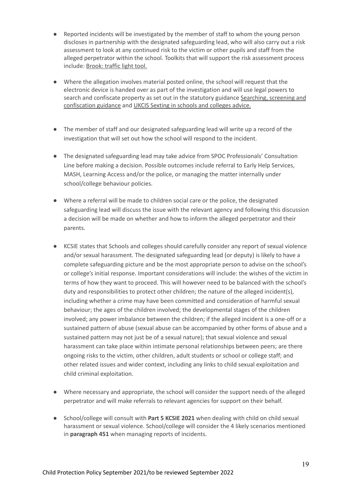- Reported incidents will be investigated by the member of staff to whom the young person discloses in partnership with the designated safeguarding lead, who will also carry out a risk assessment to look at any continued risk to the victim or other pupils and staff from the alleged perpetrator within the school. Toolkits that will support the risk assessment process include: [Brook:](https://legacy.brook.org.uk/brook_tools/traffic/index.html?syn_partner=) traffic light tool.
- Where the allegation involves material posted online, the school will request that the electronic device is handed over as part of the investigation and will use legal powers to search and confiscate property as set out in the statutory guidance [Searching,](https://assets.publishing.service.gov.uk/government/uploads/system/uploads/attachment_data/file/674416/Searching_screening_and_confiscation.pdf) screening and [confiscation](https://assets.publishing.service.gov.uk/government/uploads/system/uploads/attachment_data/file/674416/Searching_screening_and_confiscation.pdf) guidance and UKCIS Sexting in schools and [colleges](https://www.gov.uk/government/publications/sexting-in-schools-and-colleges) advice.
- The member of staff and our designated safeguarding lead will write up a record of the investigation that will set out how the school will respond to the incident.
- The designated safeguarding lead may take advice from SPOC Professionals' Consultation Line before making a decision. Possible outcomes include referral to Early Help Services, MASH, Learning Access and/or the police, or managing the matter internally under school/college behaviour policies.
- Where a referral will be made to children social care or the police, the designated safeguarding lead will discuss the issue with the relevant agency and following this discussion a decision will be made on whether and how to inform the alleged perpetrator and their parents.
- KCSIE states that Schools and colleges should carefully consider any report of sexual violence and/or sexual harassment. The designated safeguarding lead (or deputy) is likely to have a complete safeguarding picture and be the most appropriate person to advise on the school's or college's initial response. Important considerations will include: the wishes of the victim in terms of how they want to proceed. This will however need to be balanced with the school's duty and responsibilities to protect other children; the nature of the alleged incident(s), including whether a crime may have been committed and consideration of harmful sexual behaviour; the ages of the children involved; the developmental stages of the children involved; any power imbalance between the children; if the alleged incident is a one-off or a sustained pattern of abuse (sexual abuse can be accompanied by other forms of abuse and a sustained pattern may not just be of a sexual nature); that sexual violence and sexual harassment can take place within intimate personal relationships between peers; are there ongoing risks to the victim, other children, adult students or school or college staff; and other related issues and wider context, including any links to child sexual exploitation and child criminal exploitation.
- Where necessary and appropriate, the school will consider the support needs of the alleged perpetrator and will make referrals to relevant agencies for support on their behalf.
- School/college will consult with **Part 5 KCSIE 2021** when dealing with child on child sexual harassment or sexual violence. School/college will consider the 4 likely scenarios mentioned in **paragraph 451** when managing reports of incidents.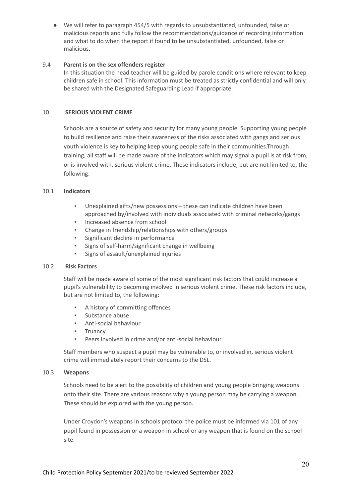● We will refer to paragraph 454/5 with regards to unsubstantiated, unfounded, false or malicious reports and fully follow the recommendations/guidance of recording information and what to do when the report if found to be unsubstantiated, unfounded, false or malicious.

#### 9.4 **Parent is on the sex offenders register**

In this situation the head teacher will be guided by parole conditions where relevant to keep children safe in school. This information must be treated as strictly confidential and will only be shared with the Designated Safeguarding Lead if appropriate.

#### 10 **SERIOUS VIOLENT CRIME**

Schools are a source of safety and security for many young people. Supporting young people to build resilience and raise their awareness of the risks associated with gangs and serious youth violence is key to helping keep young people safe in their communities.Through training, all staff will be made aware of the indicators which may signal a pupil is at risk from, or is involved with, serious violent crime. These indicators include, but are not limited to, the following:

#### 10.1 **Indicators**

- Unexplained gifts/new possessions these can indicate children have been approached by/involved with individuals associated with criminal networks/gangs
- Increased absence from school
- Change in friendship/relationships with others/groups
- **•** Significant decline in performance
- Signs of self-harm/significant change in wellbeing
- Signs of assault/unexplained injuries

#### 10.2 **Risk Factors**

Staff will be made aware of some of the most significant risk factors that could increase a pupil's vulnerability to becoming involved in serious violent crime. These risk factors include, but are not limited to, the following:

- A history of committing offences
- Substance abuse
- Anti-social behaviour
- **Truancy**
- Peers involved in crime and/or anti-social behaviour

Staff members who suspect a pupil may be vulnerable to, or involved in, serious violent crime will immediately report their concerns to the DSL.

#### 10.3 **Weapons**

Schools need to be alert to the possibility of children and young people bringing weapons onto their site. There are various reasons why a young person may be carrying a weapon. These should be explored with the young person.

Under Croydon's weapons in schools protocol the police must be informed via 101 of any pupil found in possession or a weapon in school or any weapon that is found on the school site.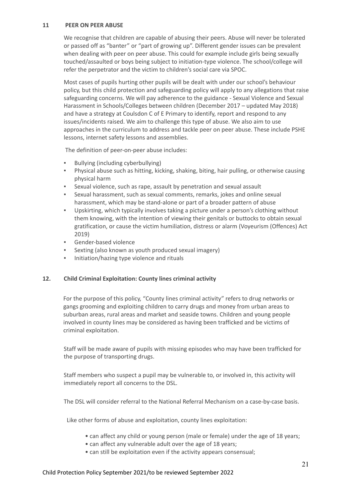#### **11 PEER ON PEER ABUSE**

We recognise that children are capable of abusing their peers. Abuse will never be tolerated or passed off as "banter" or "part of growing up". Different gender issues can be prevalent when dealing with peer on peer abuse. This could for example include girls being sexually touched/assaulted or boys being subject to initiation-type violence. The school/college will refer the perpetrator and the victim to children's social care via SPOC.

Most cases of pupils hurting other pupils will be dealt with under our school's behaviour policy, but this child protection and safeguarding policy will apply to any allegations that raise safeguarding concerns. We will pay adherence to the guidance - Sexual Violence and Sexual Harassment in Schools/Colleges between children (December 2017 – updated May 2018) and have a strategy at Coulsdon C of E Primary to identify, report and respond to any issues/incidents raised. We aim to challenge this type of abuse. We also aim to use approaches in the curriculum to address and tackle peer on peer abuse. These include PSHE lessons, internet safety lessons and assemblies.

The definition of peer-on-peer abuse includes:

- Bullying (including cyberbullying)
- Physical abuse such as hitting, kicking, shaking, biting, hair pulling, or otherwise causing physical harm
- Sexual violence, such as rape, assault by penetration and sexual assault
- Sexual harassment, such as sexual comments, remarks, jokes and online sexual harassment, which may be stand-alone or part of a broader pattern of abuse
- Upskirting, which typically involves taking a picture under a person's clothing without them knowing, with the intention of viewing their genitals or buttocks to obtain sexual gratification, or cause the victim humiliation, distress or alarm (Voyeurism (Offences) Act 2019)
- Gender-based violence
- Sexting (also known as youth produced sexual imagery)
- Initiation/hazing type violence and rituals

#### **12. Child Criminal Exploitation: County lines criminal activity**

For the purpose of this policy, "County lines criminal activity" refers to drug networks or gangs grooming and exploiting children to carry drugs and money from urban areas to suburban areas, rural areas and market and seaside towns. Children and young people involved in county lines may be considered as having been trafficked and be victims of criminal exploitation.

Staff will be made aware of pupils with missing episodes who may have been trafficked for the purpose of transporting drugs.

Staff members who suspect a pupil may be vulnerable to, or involved in, this activity will immediately report all concerns to the DSL.

The DSL will consider referral to the National Referral Mechanism on a case-by-case basis.

Like other forms of abuse and exploitation, county lines exploitation:

- can affect any child or young person (male or female) under the age of 18 years;
- can affect any vulnerable adult over the age of 18 years;
- can still be exploitation even if the activity appears consensual;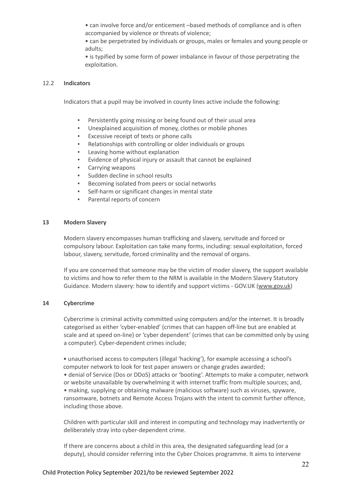• can involve force and/or enticement –based methods of compliance and is often accompanied by violence or threats of violence;

• can be perpetrated by individuals or groups, males or females and young people or adults;

• is typified by some form of power imbalance in favour of those perpetrating the exploitation.

#### 12.2 **Indicators**

Indicators that a pupil may be involved in county lines active include the following:

- Persistently going missing or being found out of their usual area
- Unexplained acquisition of money, clothes or mobile phones
- Excessive receipt of texts or phone calls
- Relationships with controlling or older individuals or groups
- Leaving home without explanation
- Evidence of physical injury or assault that cannot be explained
- Carrying weapons
- Sudden decline in school results
- Becoming isolated from peers or social networks
- Self-harm or significant changes in mental state
- Parental reports of concern

#### **13 Modern Slavery**

Modern slavery encompasses human trafficking and slavery, servitude and forced or compulsory labour. Exploitation can take many forms, including: sexual exploitation, forced labour, slavery, servitude, forced criminality and the removal of organs.

If you are concerned that someone may be the victim of moder slavery, the support available to victims and how to refer them to the NRM is available in the Modern Slavery Statutory Guidance. Modern slavery: how to identify and support victims - GOV.UK ([www.gov.uk\)](http://www.gov.uk)

#### **14 Cybercrime**

Cybercrime is criminal activity committed using computers and/or the internet. It is broadly categorised as either 'cyber-enabled' (crimes that can happen off-line but are enabled at scale and at speed on-line) or 'cyber dependent' (crimes that can be committed only by using a computer). Cyber-dependent crimes include;

• unauthorised access to computers (illegal 'hacking'), for example accessing a school's computer network to look for test paper answers or change grades awarded; • denial of Service (Dos or DDoS) attacks or 'booting'. Attempts to make a computer, network or website unavailable by overwhelming it with internet traffic from multiple sources; and, • making, supplying or obtaining malware (malicious software) such as viruses, spyware, ransomware, botnets and Remote Access Trojans with the intent to commit further offence, including those above.

Children with particular skill and interest in computing and technology may inadvertently or deliberately stray into cyber-dependent crime.

If there are concerns about a child in this area, the designated safeguarding lead (or a deputy), should consider referring into the Cyber Choices programme. It aims to intervene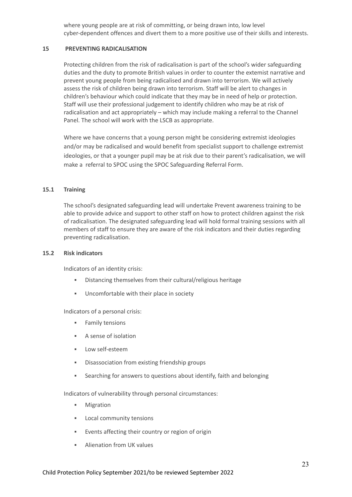where young people are at risk of committing, or being drawn into, low level cyber-dependent offences and divert them to a more positive use of their skills and interests.

#### **15 PREVENTING RADICALISATION**

Protecting children from the risk of radicalisation is part of the school's wider safeguarding duties and the duty to promote British values in order to counter the extemist narrative and prevent young people from being radicalised and drawn into terrorism. We will actively assess the risk of children being drawn into terrorism. Staff will be alert to changes in children's behaviour which could indicate that they may be in need of help or protection. Staff will use their professional judgement to identify children who may be at risk of radicalisation and act appropriately – which may include making a referral to the Channel Panel. The school will work with the LSCB as appropriate.

Where we have concerns that a young person might be considering extremist ideologies and/or may be radicalised and would benefit from specialist support to challenge extremist ideologies, or that a younger pupil may be at risk due to their parent's radicalisation, we will make a referral to SPOC using the SPOC Safeguarding Referral Form.

#### **15.1 Training**

The school's designated safeguarding lead will undertake Prevent awareness training to be able to provide advice and support to other staff on how to protect children against the risk of radicalisation. The designated safeguarding lead will hold formal training sessions with all members of staff to ensure they are aware of the risk indicators and their duties regarding preventing radicalisation.

#### **15.2 Risk indicators**

Indicators of an identity crisis:

- Distancing themselves from their cultural/religious heritage
- Uncomfortable with their place in society

Indicators of a personal crisis:

- Family tensions
- A sense of isolation
- Low self-esteem
- Disassociation from existing friendship groups
- Searching for answers to questions about identify, faith and belonging

Indicators of vulnerability through personal circumstances:

- Migration
- Local community tensions
- **Events affecting their country or region of origin**
- Alienation from UK values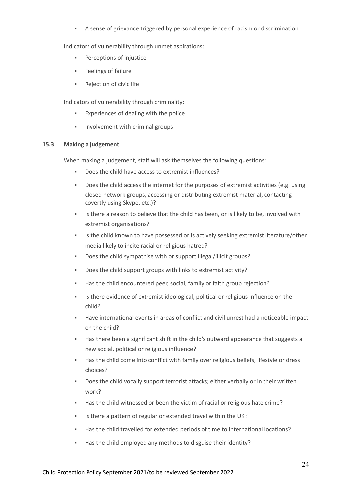A sense of grievance triggered by personal experience of racism or discrimination

Indicators of vulnerability through unmet aspirations:

- **•** Perceptions of injustice
- Feelings of failure
- Rejection of civic life

Indicators of vulnerability through criminality:

- Experiences of dealing with the police
- **•** Involvement with criminal groups

#### **15.3 Making a judgement**

When making a judgement, staff will ask themselves the following questions:

- Does the child have access to extremist influences?
- Does the child access the internet for the purposes of extremist activities (e.g. using closed network groups, accessing or distributing extremist material, contacting covertly using Skype, etc.)?
- **.** Is there a reason to believe that the child has been, or is likely to be, involved with extremist organisations?
- **EXECT** Is the child known to have possessed or is actively seeking extremist literature/other media likely to incite racial or religious hatred?
- Does the child sympathise with or support illegal/illicit groups?
- Does the child support groups with links to extremist activity?
- Has the child encountered peer, social, family or faith group rejection?
- Is there evidence of extremist ideological, political or religious influence on the child?
- Have international events in areas of conflict and civil unrest had a noticeable impact on the child?
- Has there been a significant shift in the child's outward appearance that suggests a new social, political or religious influence?
- Has the child come into conflict with family over religious beliefs, lifestyle or dress choices?
- Does the child vocally support terrorist attacks; either verbally or in their written work?
- Has the child witnessed or been the victim of racial or religious hate crime?
- Is there a pattern of regular or extended travel within the UK?
- Has the child travelled for extended periods of time to international locations?
- Has the child employed any methods to disguise their identity?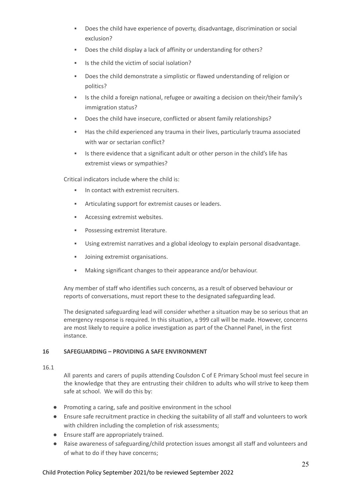- Does the child have experience of poverty, disadvantage, discrimination or social exclusion?
- Does the child display a lack of affinity or understanding for others?
- Is the child the victim of social isolation?
- Does the child demonstrate a simplistic or flawed understanding of religion or politics?
- Is the child a foreign national, refugee or awaiting a decision on their/their family's immigration status?
- Does the child have insecure, conflicted or absent family relationships?
- Has the child experienced any trauma in their lives, particularly trauma associated with war or sectarian conflict?
- Is there evidence that a significant adult or other person in the child's life has extremist views or sympathies?

Critical indicators include where the child is:

- In contact with extremist recruiters.
- Articulating support for extremist causes or leaders.
- Accessing extremist websites.
- Possessing extremist literature.
- Using extremist narratives and a global ideology to explain personal disadvantage.
- Joining extremist organisations.
- Making significant changes to their appearance and/or behaviour.

Any member of staff who identifies such concerns, as a result of observed behaviour or reports of conversations, must report these to the designated safeguarding lead.

The designated safeguarding lead will consider whether a situation may be so serious that an emergency response is required. In this situation, a 999 call will be made. However, concerns are most likely to require a police investigation as part of the Channel Panel, in the first instance.

#### **16 SAFEGUARDING – PROVIDING A SAFE ENVIRONMENT**

#### 16.1

All parents and carers of pupils attending Coulsdon C of E Primary School must feel secure in the knowledge that they are entrusting their children to adults who will strive to keep them safe at school. We will do this by:

- Promoting a caring, safe and positive environment in the school
- Ensure safe recruitment practice in checking the suitability of all staff and volunteers to work with children including the completion of risk assessments;
- Ensure staff are appropriately trained.
- Raise awareness of safeguarding/child protection issues amongst all staff and volunteers and of what to do if they have concerns;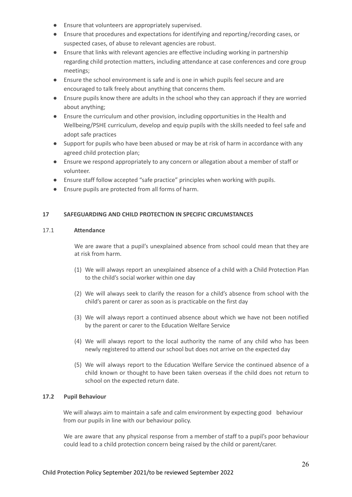- Ensure that volunteers are appropriately supervised.
- Ensure that procedures and expectations for identifying and reporting/recording cases, or suspected cases, of abuse to relevant agencies are robust.
- Ensure that links with relevant agencies are effective including working in partnership regarding child protection matters, including attendance at case conferences and core group meetings;
- Ensure the school environment is safe and is one in which pupils feel secure and are encouraged to talk freely about anything that concerns them.
- Ensure pupils know there are adults in the school who they can approach if they are worried about anything;
- Ensure the curriculum and other provision, including opportunities in the Health and Wellbeing/PSHE curriculum, develop and equip pupils with the skills needed to feel safe and adopt safe practices
- Support for pupils who have been abused or may be at risk of harm in accordance with any agreed child protection plan;
- Ensure we respond appropriately to any concern or allegation about a member of staff or volunteer.
- Ensure staff follow accepted "safe practice" principles when working with pupils.
- Ensure pupils are protected from all forms of harm.

#### **17 SAFEGUARDING AND CHILD PROTECTION IN SPECIFIC CIRCUMSTANCES**

#### 17.1 **Attendance**

We are aware that a pupil's unexplained absence from school could mean that they are at risk from harm.

- (1) We will always report an unexplained absence of a child with a Child Protection Plan to the child's social worker within one day
- (2) We will always seek to clarify the reason for a child's absence from school with the child's parent or carer as soon as is practicable on the first day
- (3) We will always report a continued absence about which we have not been notified by the parent or carer to the Education Welfare Service
- (4) We will always report to the local authority the name of any child who has been newly registered to attend our school but does not arrive on the expected day
- (5) We will always report to the Education Welfare Service the continued absence of a child known or thought to have been taken overseas if the child does not return to school on the expected return date.

#### **17.2 Pupil Behaviour**

We will always aim to maintain a safe and calm environment by expecting good behaviour from our pupils in line with our behaviour policy.

We are aware that any physical response from a member of staff to a pupil's poor behaviour could lead to a child protection concern being raised by the child or parent/carer.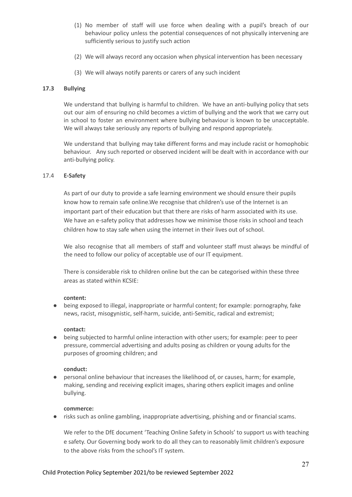- (1) No member of staff will use force when dealing with a pupil's breach of our behaviour policy unless the potential consequences of not physically intervening are sufficiently serious to justify such action
- (2) We will always record any occasion when physical intervention has been necessary
- (3) We will always notify parents or carers of any such incident

#### **17.3 Bullying**

We understand that bullying is harmful to children. We have an anti-bullying policy that sets out our aim of ensuring no child becomes a victim of bullying and the work that we carry out in school to foster an environment where bullying behaviour is known to be unacceptable. We will always take seriously any reports of bullying and respond appropriately.

We understand that bullying may take different forms and may include racist or homophobic behaviour. Any such reported or observed incident will be dealt with in accordance with our anti-bullying policy.

#### 17.4 **E-Safety**

As part of our duty to provide a safe learning environment we should ensure their pupils know how to remain safe online.We recognise that children's use of the Internet is an important part of their education but that there are risks of harm associated with its use. We have an e-safety policy that addresses how we minimise those risks in school and teach children how to stay safe when using the internet in their lives out of school.

We also recognise that all members of staff and volunteer staff must always be mindful of the need to follow our policy of acceptable use of our IT equipment.

There is considerable risk to children online but the can be categorised within these three areas as stated within KCSIE:

#### **content:**

● being exposed to illegal, inappropriate or harmful content; for example: pornography, fake news, racist, misogynistic, self-harm, suicide, anti-Semitic, radical and extremist;

#### **contact:**

● being subjected to harmful online interaction with other users; for example: peer to peer pressure, commercial advertising and adults posing as children or young adults for the purposes of grooming children; and

#### **conduct:**

● personal online behaviour that increases the likelihood of, or causes, harm; for example, making, sending and receiving explicit images, sharing others explicit images and online bullying.

#### **commerce:**

● risks such as online gambling, inappropriate advertising, phishing and or financial scams.

We refer to the DfE document 'Teaching Online Safety in Schools' to support us with teaching e safety. Our Governing body work to do all they can to reasonably limit children's exposure to the above risks from the school's IT system.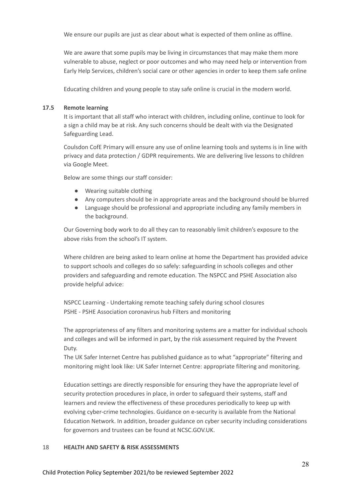We ensure our pupils are just as clear about what is expected of them online as offline.

We are aware that some pupils may be living in circumstances that may make them more vulnerable to abuse, neglect or poor outcomes and who may need help or intervention from Early Help Services, children's social care or other agencies in order to keep them safe online

Educating children and young people to stay safe online is crucial in the modern world.

#### **17.5 Remote learning**

It is important that all staff who interact with children, including online, continue to look for a sign a child may be at risk. Any such concerns should be dealt with via the Designated Safeguarding Lead.

Coulsdon CofE Primary will ensure any use of online learning tools and systems is in line with privacy and data protection / GDPR requirements. We are delivering live lessons to children via Google Meet.

Below are some things our staff consider:

- Wearing suitable clothing
- Any computers should be in appropriate areas and the background should be blurred
- Language should be professional and appropriate including any family members in the background.

Our Governing body work to do all they can to reasonably limit children's exposure to the above risks from the school's IT system.

Where children are being asked to learn online at home the Department has provided advice to support schools and colleges do so safely: safeguarding in schools colleges and other providers and safeguarding and remote education. The NSPCC and PSHE Association also provide helpful advice:

NSPCC Learning - Undertaking remote teaching safely during school closures PSHE - PSHE Association coronavirus hub Filters and monitoring

The appropriateness of any filters and monitoring systems are a matter for individual schools and colleges and will be informed in part, by the risk assessment required by the Prevent Duty.

The UK Safer Internet Centre has published guidance as to what "appropriate" filtering and monitoring might look like: UK Safer Internet Centre: appropriate filtering and monitoring.

Education settings are directly responsible for ensuring they have the appropriate level of security protection procedures in place, in order to safeguard their systems, staff and learners and review the effectiveness of these procedures periodically to keep up with evolving cyber-crime technologies. Guidance on e-security is available from the National Education Network. In addition, broader guidance on cyber security including considerations for governors and trustees can be found at NCSC.GOV.UK.

#### 18 **HEALTH AND SAFETY & RISK ASSESSMENTS**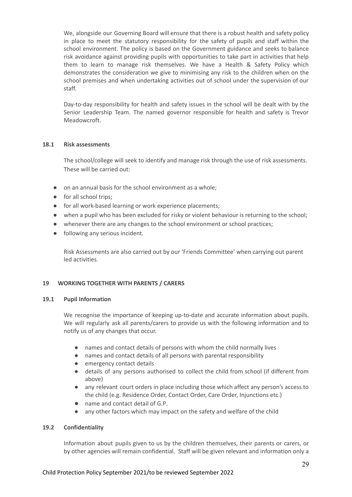We, alongside our Governing Board will ensure that there is a robust health and safety policy in place to meet the statutory responsibility for the safety of pupils and staff within the school environment. The policy is based on the Government guidance and seeks to balance risk avoidance against providing pupils with opportunities to take part in activities that help them to learn to manage risk themselves. We have a Health & Safety Policy which demonstrates the consideration we give to minimising any risk to the children when on the school premises and when undertaking activities out of school under the supervision of our staff.

Day-to-day responsibility for health and safety issues in the school will be dealt with by the Senior Leadership Team. The named governor responsible for health and safety is Trevor Meadowcroft.

#### **18.1 Risk assessments**

The school/college will seek to identify and manage risk through the use of risk assessments. These will be carried out:

- on an annual basis for the school environment as a whole;
- for all school trips:
- for all work-based learning or work experience placements;
- when a pupil who has been excluded for risky or violent behaviour is returning to the school;
- whenever there are any changes to the school environment or school practices;
- following any serious incident.

Risk Assessments are also carried out by our 'Friends Committee' when carrying out parent led activities.

#### **19 WORKING TOGETHER WITH PARENTS / CARERS**

#### **19.1 Pupil Information**

We recognise the importance of keeping up-to-date and accurate information about pupils. We will regularly ask all parents/carers to provide us with the following information and to notify us of any changes that occur.

- names and contact details of persons with whom the child normally lives
- names and contact details of all persons with parental responsibility
- emergency contact details
- details of any persons authorised to collect the child from school (if different from above)
- any relevant court orders in place including those which affect any person's access to the child (e.g. Residence Order, Contact Order, Care Order, Injunctions etc.)
- name and contact detail of G.P.
- any other factors which may impact on the safety and welfare of the child

#### **19.2 Confidentiality**

Information about pupils given to us by the children themselves, their parents or carers, or by other agencies will remain confidential. Staff will be given relevant and information only a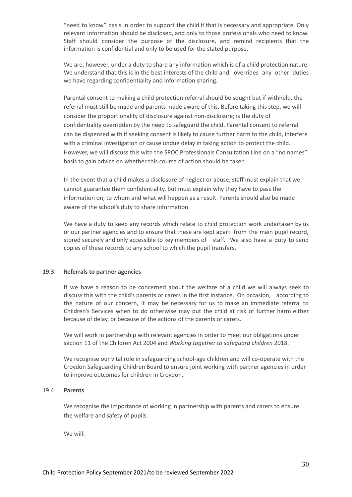"need to know" basis in order to support the child if that is necessary and appropriate. Only relevant information should be disclosed, and only to those professionals who need to know. Staff should consider the purpose of the disclosure, and remind recipients that the information is confidential and only to be used for the stated purpose.

We are, however, under a duty to share any information which is of a child protection nature. We understand that this is in the best interests of the child and overrides any other duties we have regarding confidentiality and information sharing.

Parental consent to making a child protection referral should be sought but if withheld, the referral must still be made and parents made aware of this. Before taking this step, we will consider the proportionality of disclosure against non-disclosure; is the duty of confidentiality overridden by the need to safeguard the child. Parental consent to referral can be dispensed with if seeking consent is likely to cause further harm to the child, interfere with a criminal investigation or cause undue delay in taking action to protect the child. However, we will discuss this with the SPOC Professionals Consultation Line on a "no names" basis to gain advice on whether this course of action should be taken.

In the event that a child makes a disclosure of neglect or abuse, staff must explain that we cannot guarantee them confidentiality, but must explain why they have to pass the information on, to whom and what will happen as a result. Parents should also be made aware of the school's duty to share information.

We have a duty to keep any records which relate to child protection work undertaken by us or our partner agencies and to ensure that these are kept apart from the main pupil record, stored securely and only accessible to key members of staff. We also have a duty to send copies of these records to any school to which the pupil transfers.

#### **19.3 Referrals to partner agencies**

If we have a reason to be concerned about the welfare of a child we will always seek to discuss this with the child's parents or carers in the first instance. On occasion, according to the nature of our concern, it may be necessary for us to make an immediate referral to Children's Services when to do otherwise may put the child at risk of further harm either because of delay, or because of the actions of the parents or carers.

We will work in partnership with relevant agencies in order to meet our obligations under section 11 of the Children Act 2004 and *Working together to safeguard children* 2018.

We recognise our vital role in safeguarding school-age children and will co-operate with the Croydon Safeguarding Children Board to ensure joint working with partner agencies in order to improve outcomes for children in Croydon.

#### 19.4 **Parents**

We recognise the importance of working in partnership with parents and carers to ensure the welfare and safety of pupils.

We will: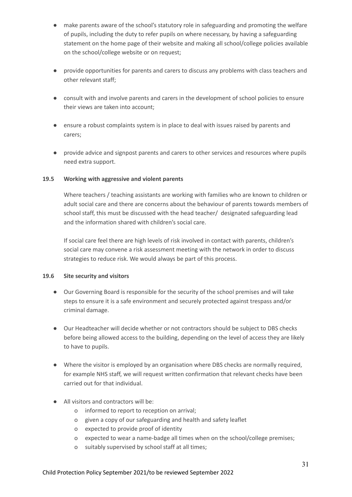- make parents aware of the school's statutory role in safeguarding and promoting the welfare of pupils, including the duty to refer pupils on where necessary, by having a safeguarding statement on the home page of their website and making all school/college policies available on the school/college website or on request;
- provide opportunities for parents and carers to discuss any problems with class teachers and other relevant staff;
- consult with and involve parents and carers in the development of school policies to ensure their views are taken into account;
- ensure a robust complaints system is in place to deal with issues raised by parents and carers;
- provide advice and signpost parents and carers to other services and resources where pupils need extra support.

#### **19.5 Working with aggressive and violent parents**

Where teachers / teaching assistants are working with families who are known to children or adult social care and there are concerns about the behaviour of parents towards members of school staff, this must be discussed with the head teacher/ designated safeguarding lead and the information shared with children's social care.

If social care feel there are high levels of risk involved in contact with parents, children's social care may convene a risk assessment meeting with the network in order to discuss strategies to reduce risk. We would always be part of this process.

#### **19.6 Site security and visitors**

- Our Governing Board is responsible for the security of the school premises and will take steps to ensure it is a safe environment and securely protected against trespass and/or criminal damage.
- Our Headteacher will decide whether or not contractors should be subject to DBS checks before being allowed access to the building, depending on the level of access they are likely to have to pupils.
- Where the visitor is employed by an organisation where DBS checks are normally required, for example NHS staff, we will request written confirmation that relevant checks have been carried out for that individual.
- All visitors and contractors will be:
	- o informed to report to reception on arrival;
	- o given a copy of our safeguarding and health and safety leaflet
	- o expected to provide proof of identity
	- o expected to wear a name-badge all times when on the school/college premises;
	- o suitably supervised by school staff at all times;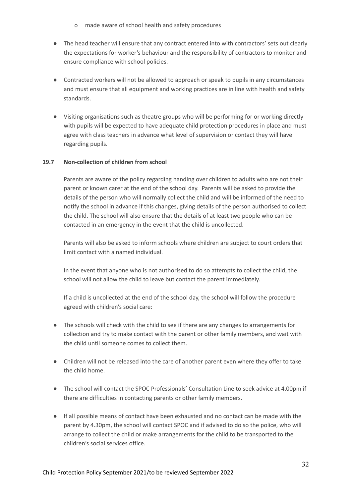- o made aware of school health and safety procedures
- The head teacher will ensure that any contract entered into with contractors' sets out clearly the expectations for worker's behaviour and the responsibility of contractors to monitor and ensure compliance with school policies.
- Contracted workers will not be allowed to approach or speak to pupils in any circumstances and must ensure that all equipment and working practices are in line with health and safety standards.
- Visiting organisations such as theatre groups who will be performing for or working directly with pupils will be expected to have adequate child protection procedures in place and must agree with class teachers in advance what level of supervision or contact they will have regarding pupils.

#### **19.7 Non-collection of children from school**

Parents are aware of the policy regarding handing over children to adults who are not their parent or known carer at the end of the school day. Parents will be asked to provide the details of the person who will normally collect the child and will be informed of the need to notify the school in advance if this changes, giving details of the person authorised to collect the child. The school will also ensure that the details of at least two people who can be contacted in an emergency in the event that the child is uncollected.

Parents will also be asked to inform schools where children are subject to court orders that limit contact with a named individual.

In the event that anyone who is not authorised to do so attempts to collect the child, the school will not allow the child to leave but contact the parent immediately.

If a child is uncollected at the end of the school day, the school will follow the procedure agreed with children's social care:

- The schools will check with the child to see if there are any changes to arrangements for collection and try to make contact with the parent or other family members, and wait with the child until someone comes to collect them.
- Children will not be released into the care of another parent even where they offer to take the child home.
- The school will contact the SPOC Professionals' Consultation Line to seek advice at 4.00pm if there are difficulties in contacting parents or other family members.
- If all possible means of contact have been exhausted and no contact can be made with the parent by 4.30pm, the school will contact SPOC and if advised to do so the police, who will arrange to collect the child or make arrangements for the child to be transported to the children's social services office.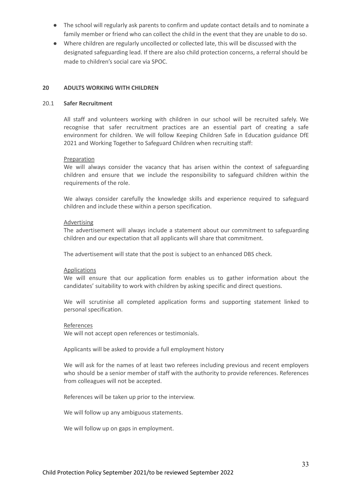- The school will regularly ask parents to confirm and update contact details and to nominate a family member or friend who can collect the child in the event that they are unable to do so.
- Where children are regularly uncollected or collected late, this will be discussed with the designated safeguarding lead. If there are also child protection concerns, a referral should be made to children's social care via SPOC.

#### **20 ADULTS WORKING WITH CHILDREN**

#### 20.1 **Safer Recruitment**

All staff and volunteers working with children in our school will be recruited safely. We recognise that safer recruitment practices are an essential part of creating a safe environment for children. We will follow Keeping Children Safe in Education guidance DfE 2021 and Working Together to Safeguard Children when recruiting staff:

#### Preparation

We will always consider the vacancy that has arisen within the context of safeguarding children and ensure that we include the responsibility to safeguard children within the requirements of the role.

We always consider carefully the knowledge skills and experience required to safeguard children and include these within a person specification.

#### Advertising

The advertisement will always include a statement about our commitment to safeguarding children and our expectation that all applicants will share that commitment.

The advertisement will state that the post is subject to an enhanced DBS check.

#### Applications

We will ensure that our application form enables us to gather information about the candidates' suitability to work with children by asking specific and direct questions.

We will scrutinise all completed application forms and supporting statement linked to personal specification.

#### **References**

We will not accept open references or testimonials.

Applicants will be asked to provide a full employment history

We will ask for the names of at least two referees including previous and recent employers who should be a senior member of staff with the authority to provide references. References from colleagues will not be accepted.

References will be taken up prior to the interview.

We will follow up any ambiguous statements.

We will follow up on gaps in employment.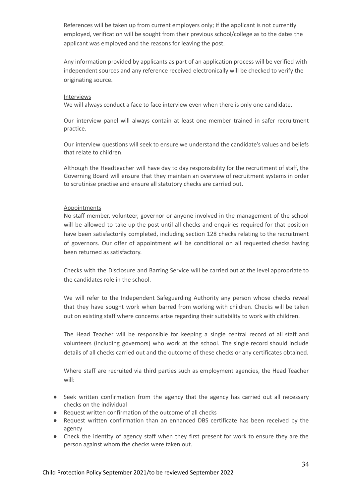References will be taken up from current employers only; if the applicant is not currently employed, verification will be sought from their previous school/college as to the dates the applicant was employed and the reasons for leaving the post.

Any information provided by applicants as part of an application process will be verified with independent sources and any reference received electronically will be checked to verify the originating source.

#### **Interviews**

We will always conduct a face to face interview even when there is only one candidate.

Our interview panel will always contain at least one member trained in safer recruitment practice.

Our interview questions will seek to ensure we understand the candidate's values and beliefs that relate to children.

Although the Headteacher will have day to day responsibility for the recruitment of staff, the Governing Board will ensure that they maintain an overview of recruitment systems in order to scrutinise practise and ensure all statutory checks are carried out.

#### Appointments

No staff member, volunteer, governor or anyone involved in the management of the school will be allowed to take up the post until all checks and enquiries required for that position have been satisfactorily completed, including section 128 checks relating to the recruitment of governors. Our offer of appointment will be conditional on all requested checks having been returned as satisfactory.

Checks with the Disclosure and Barring Service will be carried out at the level appropriate to the candidates role in the school.

We will refer to the Independent Safeguarding Authority any person whose checks reveal that they have sought work when barred from working with children. Checks will be taken out on existing staff where concerns arise regarding their suitability to work with children.

The Head Teacher will be responsible for keeping a single central record of all staff and volunteers (including governors) who work at the school. The single record should include details of all checks carried out and the outcome of these checks or any certificates obtained.

Where staff are recruited via third parties such as employment agencies, the Head Teacher will:

- Seek written confirmation from the agency that the agency has carried out all necessary checks on the individual
- Request written confirmation of the outcome of all checks
- Request written confirmation than an enhanced DBS certificate has been received by the agency
- Check the identity of agency staff when they first present for work to ensure they are the person against whom the checks were taken out.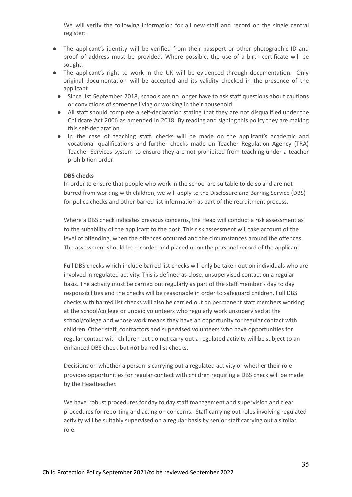We will verify the following information for all new staff and record on the single central register:

- The applicant's identity will be verified from their passport or other photographic ID and proof of address must be provided. Where possible, the use of a birth certificate will be sought.
- The applicant's right to work in the UK will be evidenced through documentation. Only original documentation will be accepted and its validity checked in the presence of the applicant.
	- Since 1st September 2018, schools are no longer have to ask staff questions about cautions or convictions of someone living or working in their household.
	- All staff should complete a self-declaration stating that they are not disqualified under the Childcare Act 2006 as amended in 2018. By reading and signing this policy they are making this self-declaration.
	- In the case of teaching staff, checks will be made on the applicant's academic and vocational qualifications and further checks made on Teacher Regulation Agency (TRA) Teacher Services system to ensure they are not prohibited from teaching under a teacher prohibition order.

#### **DBS checks**

In order to ensure that people who work in the school are suitable to do so and are not barred from working with children, we will apply to the Disclosure and Barring Service (DBS) for police checks and other barred list information as part of the recruitment process.

Where a DBS check indicates previous concerns, the Head will conduct a risk assessment as to the suitability of the applicant to the post. This risk assessment will take account of the level of offending, when the offences occurred and the circumstances around the offences. The assessment should be recorded and placed upon the personel record of the applicant

Full DBS checks which include barred list checks will only be taken out on individuals who are involved in regulated activity. This is defined as close, unsupervised contact on a regular basis. The activity must be carried out regularly as part of the staff member's day to day responsibilities and the checks will be reasonable in order to safeguard children. Full DBS checks with barred list checks will also be carried out on permanent staff members working at the school/college or unpaid volunteers who regularly work unsupervised at the school/college and whose work means they have an opportunity for regular contact with children. Other staff, contractors and supervised volunteers who have opportunities for regular contact with children but do not carry out a regulated activity will be subject to an enhanced DBS check but **not** barred list checks.

Decisions on whether a person is carrying out a regulated activity or whether their role provides opportunities for regular contact with children requiring a DBS check will be made by the Headteacher.

We have robust procedures for day to day staff management and supervision and clear procedures for reporting and acting on concerns. Staff carrying out roles involving regulated activity will be suitably supervised on a regular basis by senior staff carrying out a similar role.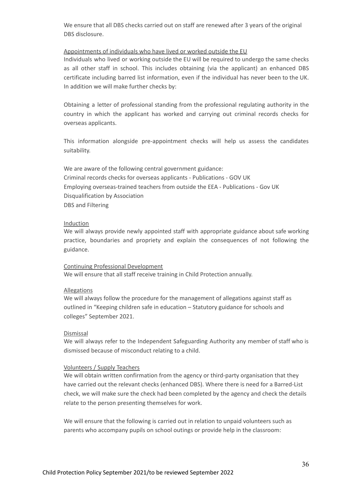We ensure that all DBS checks carried out on staff are renewed after 3 years of the original DBS disclosure.

#### Appointments of individuals who have lived or worked outside the EU

Individuals who lived or working outside the EU will be required to undergo the same checks as all other staff in school. This includes obtaining (via the applicant) an enhanced DBS certificate including barred list information, even if the individual has never been to the UK. In addition we will make further checks by:

Obtaining a letter of professional standing from the professional regulating authority in the country in which the applicant has worked and carrying out criminal records checks for overseas applicants.

This information alongside pre-appointment checks will help us assess the candidates suitability.

We are aware of the following central government guidance: Criminal records checks for overseas applicants - Publications - GOV UK Employing overseas-trained teachers from outside the EEA - Publications - Gov UK Disqualification by Association DBS and Filtering

#### Induction

We will always provide newly appointed staff with appropriate guidance about safe working practice, boundaries and propriety and explain the consequences of not following the guidance.

Continuing Professional Development We will ensure that all staff receive training in Child Protection annually.

#### Allegations

We will always follow the procedure for the management of allegations against staff as outlined in "Keeping children safe in education – Statutory guidance for schools and colleges" September 2021.

#### Dismissal

We will always refer to the Independent Safeguarding Authority any member of staff who is dismissed because of misconduct relating to a child.

#### Volunteers / Supply Teachers

We will obtain written confirmation from the agency or third-party organisation that they have carried out the relevant checks (enhanced DBS). Where there is need for a Barred-List check, we will make sure the check had been completed by the agency and check the details relate to the person presenting themselves for work.

We will ensure that the following is carried out in relation to unpaid volunteers such as parents who accompany pupils on school outings or provide help in the classroom: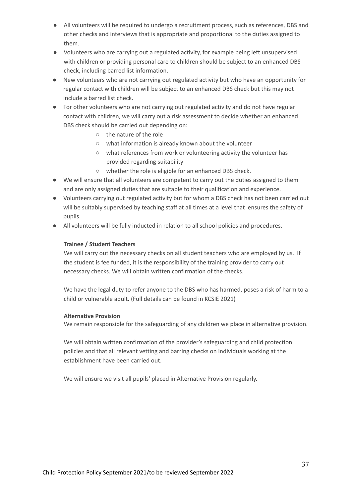- All volunteers will be required to undergo a recruitment process, such as references, DBS and other checks and interviews that is appropriate and proportional to the duties assigned to them.
- Volunteers who are carrying out a regulated activity, for example being left unsupervised with children or providing personal care to children should be subject to an enhanced DBS check, including barred list information.
- New volunteers who are not carrying out regulated activity but who have an opportunity for regular contact with children will be subject to an enhanced DBS check but this may not include a barred list check.
- For other volunteers who are not carrying out regulated activity and do not have regular contact with children, we will carry out a risk assessment to decide whether an enhanced DBS check should be carried out depending on:
	- the nature of the role
	- what information is already known about the volunteer
	- what references from work or volunteering activity the volunteer has provided regarding suitability
	- whether the role is eligible for an enhanced DBS check.
- We will ensure that all volunteers are competent to carry out the duties assigned to them and are only assigned duties that are suitable to their qualification and experience.
- Volunteers carrying out regulated activity but for whom a DBS check has not been carried out will be suitably supervised by teaching staff at all times at a level that ensures the safety of pupils.
- All volunteers will be fully inducted in relation to all school policies and procedures.

#### **Trainee / Student Teachers**

We will carry out the necessary checks on all student teachers who are employed by us. If the student is fee funded, it is the responsibility of the training provider to carry out necessary checks. We will obtain written confirmation of the checks.

We have the legal duty to refer anyone to the DBS who has harmed, poses a risk of harm to a child or vulnerable adult. (Full details can be found in KCSIE 2021)

#### **Alternative Provision**

We remain responsible for the safeguarding of any children we place in alternative provision.

We will obtain written confirmation of the provider's safeguarding and child protection policies and that all relevant vetting and barring checks on individuals working at the establishment have been carried out.

We will ensure we visit all pupils' placed in Alternative Provision regularly.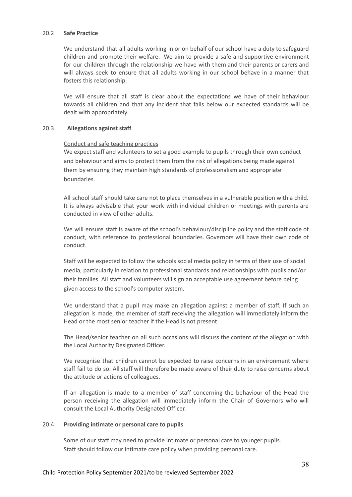#### 20.2 **Safe Practice**

We understand that all adults working in or on behalf of our school have a duty to safeguard children and promote their welfare. We aim to provide a safe and supportive environment for our children through the relationship we have with them and their parents or carers and will always seek to ensure that all adults working in our school behave in a manner that fosters this relationship.

We will ensure that all staff is clear about the expectations we have of their behaviour towards all children and that any incident that falls below our expected standards will be dealt with appropriately.

#### 20.3 **Allegations against staff**

#### Conduct and safe teaching practices

We expect staff and volunteers to set a good example to pupils through their own conduct and behaviour and aims to protect them from the risk of allegations being made against them by ensuring they maintain high standards of professionalism and appropriate boundaries.

All school staff should take care not to place themselves in a vulnerable position with a child. It is always advisable that your work with individual children or meetings with parents are conducted in view of other adults.

We will ensure staff is aware of the school's behaviour/discipline policy and the staff code of conduct, with reference to professional boundaries. Governors will have their own code of conduct.

Staff will be expected to follow the schools social media policy in terms of their use of social media, particularly in relation to professional standards and relationships with pupils and/or their families. All staff and volunteers will sign an acceptable use agreement before being given access to the school's computer system.

We understand that a pupil may make an allegation against a member of staff. If such an allegation is made, the member of staff receiving the allegation will immediately inform the Head or the most senior teacher if the Head is not present.

The Head/senior teacher on all such occasions will discuss the content of the allegation with the Local Authority Designated Officer.

We recognise that children cannot be expected to raise concerns in an environment where staff fail to do so. All staff will therefore be made aware of their duty to raise concerns about the attitude or actions of colleagues.

If an allegation is made to a member of staff concerning the behaviour of the Head the person receiving the allegation will immediately inform the Chair of Governors who will consult the Local Authority Designated Officer.

#### 20.4 **Providing intimate or personal care to pupils**

Some of our staff may need to provide intimate or personal care to younger pupils. Staff should follow our intimate care policy when providing personal care.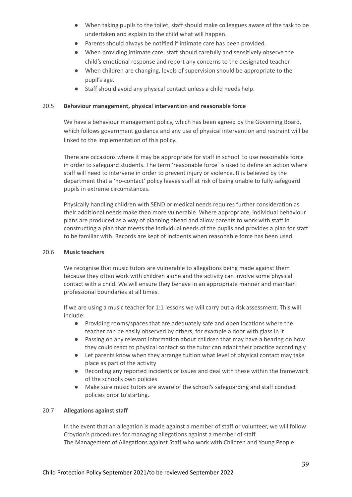- When taking pupils to the toilet, staff should make colleagues aware of the task to be undertaken and explain to the child what will happen.
- Parents should always be notified if intimate care has been provided.
- When providing intimate care, staff should carefully and sensitively observe the child's emotional response and report any concerns to the designated teacher.
- When children are changing, levels of supervision should be appropriate to the pupil's age.
- Staff should avoid any physical contact unless a child needs help.

#### 20.5 **Behaviour management, physical intervention and reasonable force**

We have a behaviour management policy, which has been agreed by the Governing Board, which follows government guidance and any use of physical intervention and restraint will be linked to the implementation of this policy.

There are occasions where it may be appropriate for staff in school to use reasonable force in order to safeguard students. The term 'reasonable force' is used to define an action where staff will need to intervene in order to prevent injury or violence. It is believed by the department that a 'no-contact' policy leaves staff at risk of being unable to fully safeguard pupils in extreme circumstances.

Physically handling children with SEND or medical needs requires further consideration as their additional needs make then more vulnerable. Where appropriate, individual behaviour plans are produced as a way of planning ahead and allow parents to work with staff in constructing a plan that meets the individual needs of the pupils and provides a plan for staff to be familiar with. Records are kept of incidents when reasonable force has been used.

#### 20.6 **Music teachers**

We recognise that music tutors are vulnerable to allegations being made against them because they often work with children alone and the activity can involve some physical contact with a child. We will ensure they behave in an appropriate manner and maintain professional boundaries at all times.

If we are using a music teacher for 1:1 lessons we will carry out a risk assessment. This will include:

- Providing rooms/spaces that are adequately safe and open locations where the teacher can be easily observed by others, for example a door with glass in it
- Passing on any relevant information about children that may have a bearing on how they could react to physical contact so the tutor can adapt their practice accordingly
- Let parents know when they arrange tuition what level of physical contact may take place as part of the activity
- Recording any reported incidents or issues and deal with these within the framework of the school's own policies
- Make sure music tutors are aware of the school's safeguarding and staff conduct policies prior to starting.

#### 20.7 **Allegations against staff**

In the event that an allegation is made against a member of staff or volunteer, we will follow Croydon's procedures for managing allegations against a member of staff. The [Management](http://croydonlcsb.org.uk/professionals/allegations-complaints/) of Allegations against Staff who work with Children and Young People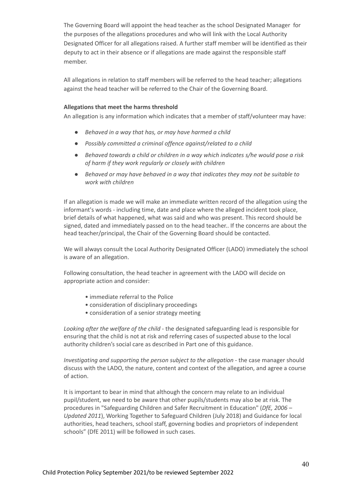The Governing Board will appoint the head teacher as the school Designated Manager for the purposes of the allegations procedures and who will link with the Local Authority Designated Officer for all allegations raised. A further staff member will be identified as their deputy to act in their absence or if allegations are made against the responsible staff member.

All allegations in relation to staff members will be referred to the head teacher; allegations against the head teacher will be referred to the Chair of the Governing Board.

#### **Allegations that meet the harms threshold**

An allegation is any information which indicates that a member of staff/volunteer may have:

- *Behaved in a way that has, or may have harmed a child*
- *Possibly committed a criminal offence against/related to a child*
- *Behaved towards a child or children in a way which indicates s/he would pose a risk of harm if they work regularly or closely with children*
- *Behaved or may have behaved in a way that indicates they may not be suitable to work with children*

If an allegation is made we will make an immediate written record of the allegation using the informant's words - including time, date and place where the alleged incident took place, brief details of what happened, what was said and who was present. This record should be signed, dated and immediately passed on to the head teacher.. If the concerns are about the head teacher/principal, the Chair of the Governing Board should be contacted.

We will always consult the Local Authority Designated Officer (LADO) immediately the school is aware of an allegation.

Following consultation, the head teacher in agreement with the LADO will decide on appropriate action and consider:

- immediate referral to the Police
- consideration of disciplinary proceedings
- consideration of a senior strategy meeting

*Looking after the welfare of the child* - the designated safeguarding lead is responsible for ensuring that the child is not at risk and referring cases of suspected abuse to the local authority children's social care as described in Part one of this guidance.

*Investigating and supporting the person subject to the allegation* - the case manager should discuss with the LADO, the nature, content and context of the allegation, and agree a course of action.

It is important to bear in mind that although the concern may relate to an individual pupil/student, we need to be aware that other pupils/students may also be at risk. The procedures in "Safeguarding Children and Safer Recruitment in Education" (*DfE, 2006 – Updated 2011*), Working Together to Safeguard Children (July 2018) and Guidance for local authorities, head teachers, school staff, governing bodies and proprietors of independent schools" (DfE 2011) will be followed in such cases.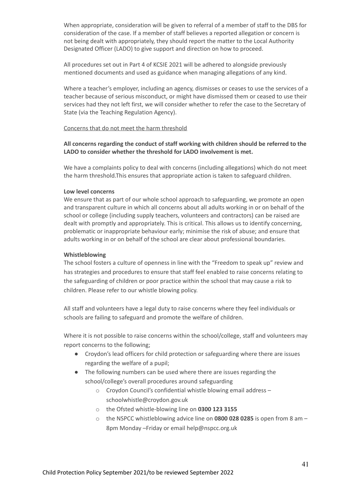When appropriate, consideration will be given to referral of a member of staff to the DBS for consideration of the case. If a member of staff believes a reported allegation or concern is not being dealt with appropriately, they should report the matter to the Local Authority Designated Officer (LADO) to give support and direction on how to proceed.

All procedures set out in Part 4 of KCSIE 2021 will be adhered to alongside previously mentioned documents and used as guidance when managing allegations of any kind.

Where a teacher's employer, including an agency, dismisses or ceases to use the services of a teacher because of serious misconduct, or might have dismissed them or ceased to use their services had they not left first, we will consider whether to refer the case to the Secretary of State (via the Teaching Regulation Agency).

#### Concerns that do not meet the harm threshold

#### **All concerns regarding the conduct of staff working with children should be referred to the LADO to consider whether the threshold for LADO involvement is met.**

We have a complaints policy to deal with concerns (including allegations) which do not meet the harm threshold.This ensures that appropriate action is taken to safeguard children.

#### **Low level concerns**

We ensure that as part of our whole school approach to safeguarding, we promote an open and transparent culture in which all concerns about all adults working in or on behalf of the school or college (including supply teachers, volunteers and contractors) can be raised are dealt with promptly and appropriately. This is critical. This allows us to identify concerning, problematic or inappropriate behaviour early; minimise the risk of abuse; and ensure that adults working in or on behalf of the school are clear about professional boundaries.

#### **Whistleblowing**

The school fosters a culture of openness in line with the "Freedom to speak up" review and has strategies and procedures to ensure that staff feel enabled to raise concerns relating to the safeguarding of children or poor practice within the school that may cause a risk to children. Please refer to our whistle blowing policy.

All staff and volunteers have a legal duty to raise concerns where they feel individuals or schools are failing to safeguard and promote the welfare of children.

Where it is not possible to raise concerns within the school/college, staff and volunteers may report concerns to the following;

- Croydon's lead officers for child protection or safeguarding where there are issues regarding the welfare of a pupil;
- The following numbers can be used where there are issues regarding the school/college's overall procedures around safeguarding
	- o Croydon Council's confidential whistle blowing email address [schoolwhistle@croydon.gov.uk](mailto:schoolwhistle@croydon.gov.uk)
	- o the Ofsted whistle-blowing line on **0300 123 3155**
	- o the NSPCC whistleblowing advice line on **0800 028 0285** is open from 8 am 8pm Monday –Friday or email [help@nspcc.org.uk](mailto:help@nspcc.org.uk)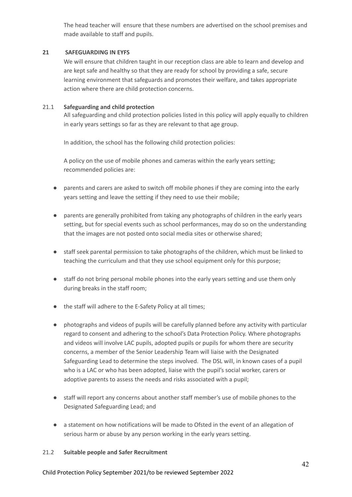The head teacher will ensure that these numbers are advertised on the school premises and made available to staff and pupils.

#### **21 SAFEGUARDING IN EYFS**

We will ensure that children taught in our reception class are able to learn and develop and are kept safe and healthy so that they are ready for school by providing a safe, secure learning environment that safeguards and promotes their welfare, and takes appropriate action where there are child protection concerns.

#### 21.1 **Safeguarding and child protection**

All safeguarding and child protection policies listed in this policy will apply equally to children in early years settings so far as they are relevant to that age group.

In addition, the school has the following child protection policies:

A policy on the use of mobile phones and cameras within the early years setting; recommended policies are:

- parents and carers are asked to switch off mobile phones if they are coming into the early years setting and leave the setting if they need to use their mobile;
- parents are generally prohibited from taking any photographs of children in the early years setting, but for special events such as school performances, may do so on the understanding that the images are not posted onto social media sites or otherwise shared;
- staff seek parental permission to take photographs of the children, which must be linked to teaching the curriculum and that they use school equipment only for this purpose;
- staff do not bring personal mobile phones into the early years setting and use them only during breaks in the staff room;
- the staff will adhere to the E-Safety Policy at all times;
- photographs and videos of pupils will be carefully planned before any activity with particular regard to consent and adhering to the school's Data Protection Policy. Where photographs and videos will involve LAC pupils, adopted pupils or pupils for whom there are security concerns, a member of the Senior Leadership Team will liaise with the Designated Safeguarding Lead to determine the steps involved. The DSL will, in known cases of a pupil who is a LAC or who has been adopted, liaise with the pupil's social worker, carers or adoptive parents to assess the needs and risks associated with a pupil;
- staff will report any concerns about another staff member's use of mobile phones to the Designated Safeguarding Lead; and
- a statement on how notifications will be made to Ofsted in the event of an allegation of serious harm or abuse by any person working in the early years setting.

#### 21.2 **Suitable people and Safer Recruitment**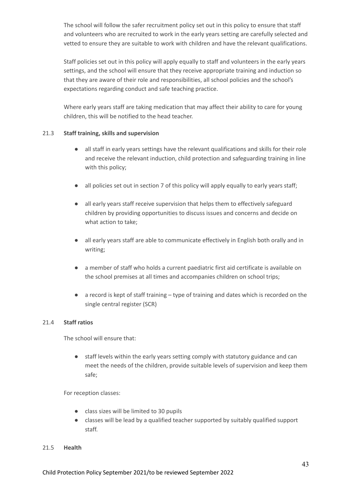The school will follow the safer recruitment policy set out in this policy to ensure that staff and volunteers who are recruited to work in the early years setting are carefully selected and vetted to ensure they are suitable to work with children and have the relevant qualifications.

Staff policies set out in this policy will apply equally to staff and volunteers in the early years settings, and the school will ensure that they receive appropriate training and induction so that they are aware of their role and responsibilities, all school policies and the school's expectations regarding conduct and safe teaching practice.

Where early years staff are taking medication that may affect their ability to care for young children, this will be notified to the head teacher.

#### 21.3 **Staff training, skills and supervision**

- all staff in early years settings have the relevant qualifications and skills for their role and receive the relevant induction, child protection and safeguarding training in line with this policy;
- all policies set out in section 7 of this policy will apply equally to early years staff;
- all early years staff receive supervision that helps them to effectively safeguard children by providing opportunities to discuss issues and concerns and decide on what action to take;
- all early years staff are able to communicate effectively in English both orally and in writing;
- a member of staff who holds a current paediatric first aid certificate is available on the school premises at all times and accompanies children on school trips;
- a record is kept of staff training type of training and dates which is recorded on the single central register (SCR)

#### 21.4 **Staff ratios**

The school will ensure that:

● staff levels within the early years setting comply with statutory guidance and can meet the needs of the children, provide suitable levels of supervision and keep them safe;

For reception classes:

- class sizes will be limited to 30 pupils
- classes will be lead by a qualified teacher supported by suitably qualified support staff.

#### 21.5 **Health**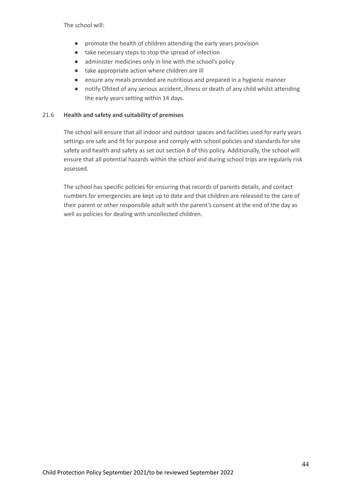The school will:

- promote the health of children attending the early years provision
- take necessary steps to stop the spread of infection
- administer medicines only in line with the school's policy
- take appropriate action where children are ill
- ensure any meals provided are nutritious and prepared in a hygienic manner
- notify Ofsted of any serious accident, illness or death of any child whilst attending the early years setting within 14 days.

#### 21.6 **Health and safety and suitability of premises**

The school will ensure that all indoor and outdoor spaces and facilities used for early years settings are safe and fit for purpose and comply with school policies and standards for site safety and health and safety as set out section 8 of this policy. Additionally, the school will ensure that all potential hazards within the school and during school trips are regularly risk assessed.

The school has specific policies for ensuring that records of parents details, and contact numbers for emergencies are kept up to date and that children are released to the care of their parent or other responsible adult with the parent's consent at the end of the day as well as policies for dealing with uncollected children.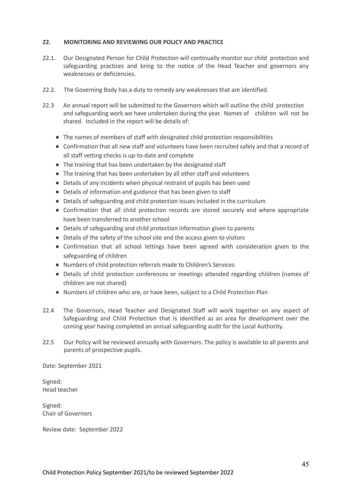#### **22. MONITORING AND REVIEWING OUR POLICY AND PRACTICE**

- 22.1. Our Designated Person for Child Protection will continually monitor our child protection and safeguarding practices and bring to the notice of the Head Teacher and governors any weaknesses or deficiencies.
- 22.2. The Governing Body has a duty to remedy any weaknesses that are identified.
- 22.3 An annual report will be submitted to the Governors which will outline the child protection and safeguarding work we have undertaken during the year. Names of children will not be shared. Included in the report will be details of:
	- The names of members of staff with designated child protection responsibilities
	- Confirmation that all new staff and volunteers have been recruited safely and that a record of all staff vetting checks is up-to-date and complete
	- The training that has been undertaken by the designated staff
	- The training that has been undertaken by all other staff and volunteers
	- Details of any incidents when physical restraint of pupils has been used
	- Details of information and guidance that has been given to staff
	- Details of safeguarding and child protection issues included in the curriculum
	- Confirmation that all child protection records are stored securely and where appropriate have been transferred to another school
	- Details of safeguarding and child protection information given to parents
	- Details of the safety of the school site and the access given to visitors
	- Confirmation that all school lettings have been agreed with consideration given to the safeguarding of children
	- Numbers of child protection referrals made to Children's Services
	- Details of child protection conferences or meetings attended regarding children (names of children are not shared)
	- Numbers of children who are, or have been, subject to a Child Protection Plan
- 22.4 The Governors, Head Teacher and Designated Staff will work together on any aspect of Safeguarding and Child Protection that is identified as an area for development over the coming year having completed an annual safeguarding audit for the Local Authority.
- 22.5 Our Policy will be reviewed annually with Governors. The policy is available to all parents and parents of prospective pupils.

Date: September 2021

Signed: Head teacher

Signed: Chair of Governors

Review date: September 2022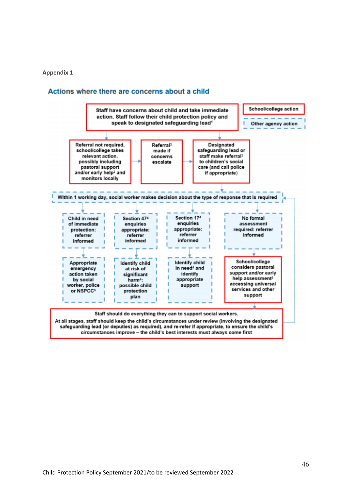#### **Appendix 1**

#### Actions where there are concerns about a child

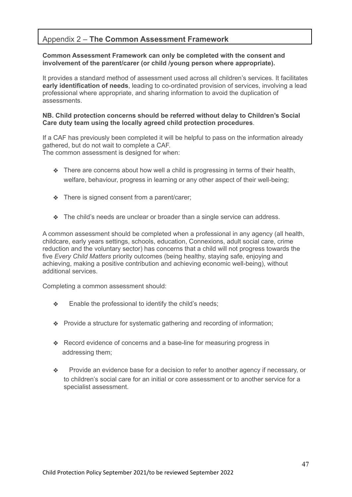#### Appendix 2 – **The Common Assessment Framework**

#### **Common Assessment Framework can only be completed with the consent and involvement of the parent/carer (or child /young person where appropriate).**

It provides a standard method of assessment used across all children's services. It facilitates **early identification of needs**, leading to co-ordinated provision of services, involving a lead professional where appropriate, and sharing information to avoid the duplication of assessments.

#### **NB. Child protection concerns should be referred without delay to Children's Social Care duty team using the locally agreed child protection procedures**.

If a CAF has previously been completed it will be helpful to pass on the information already gathered, but do not wait to complete a CAF. The common assessment is designed for when:

- ❖ There are concerns about how well a child is progressing in terms of their health, welfare, behaviour, progress in learning or any other aspect of their well-being;
- ❖ There is signed consent from a parent/carer;
- ❖ The child's needs are unclear or broader than a single service can address.

A common assessment should be completed when a professional in any agency (all health, childcare, early years settings, schools, education, Connexions, adult social care, crime reduction and the voluntary sector) has concerns that a child will not progress towards the five *Every Child Matters* priority outcomes (being healthy, staying safe, enjoying and achieving, making a positive contribution and achieving economic well-being), without additional services.

Completing a common assessment should:

- ❖ Enable the professional to identify the child's needs;
- ❖ Provide a structure for systematic gathering and recording of information;
- ❖ Record evidence of concerns and a base-line for measuring progress in addressing them;
- ❖ Provide an evidence base for a decision to refer to another agency if necessary, or to children's social care for an initial or core assessment or to another service for a specialist assessment.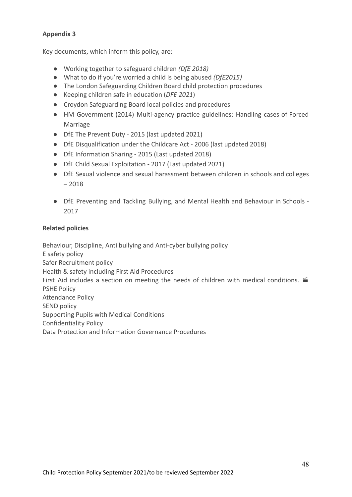#### **Appendix 3**

Key documents, which inform this policy, are:

- Working together to safeguard children *(DfE 2018)*
- What to do if you're worried a child is being abused *(DfE2015)*
- The London Safeguarding Children Board child protection procedures
- Keeping children safe in education (*DFE 2021*)
- Croydon Safeguarding Board local policies and procedures
- HM Government (2014) Multi-agency practice guidelines: Handling cases of Forced Marriage
- DfE The Prevent Duty 2015 (last updated 2021)
- DfE Disqualification under the Childcare Act 2006 (last updated 2018)
- DfE Information Sharing 2015 (Last updated 2018)
- DfE Child Sexual Exploitation 2017 (Last updated 2021)
- DfE Sexual violence and sexual harassment between children in schools and colleges – 2018
- DfE Preventing and Tackling Bullying, and Mental Health and Behaviour in Schools 2017

#### **Related policies**

Behaviour, Discipline, Anti bullying and Anti-cyber bullying policy E safety policy Safer Recruitment policy Health & safety including First Aid Procedures First Aid includes a section on meeting the needs of children with medical conditions. PSHE Policy Attendance Policy SEND policy Supporting Pupils with Medical Conditions Confidentiality Policy Data Protection and Information Governance Procedures